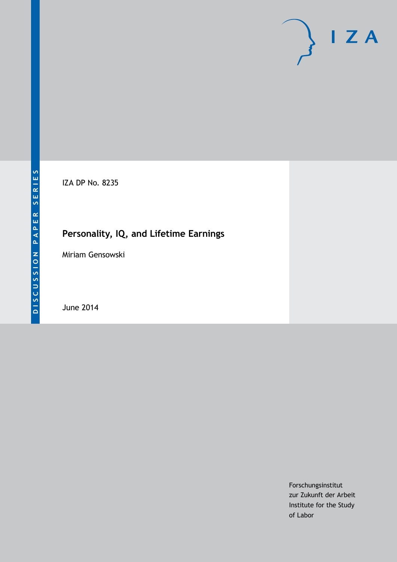# $\mathsf{I}$  Z A

IZA DP No. 8235

# **Personality, IQ, and Lifetime Earnings**

Miriam Gensowski

June 2014

Forschungsinstitut zur Zukunft der Arbeit Institute for the Study of Labor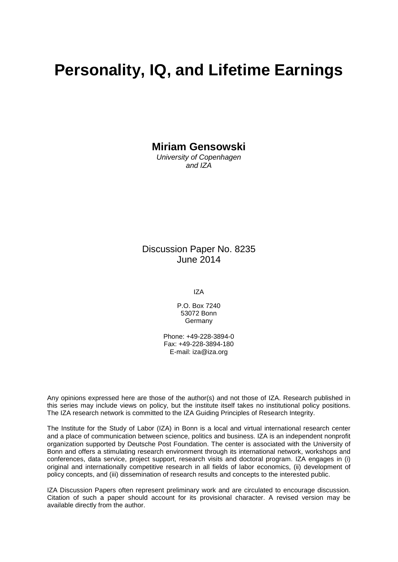# **Personality, IQ, and Lifetime Earnings**

**Miriam Gensowski**

*University of Copenhagen and IZA*

Discussion Paper No. 8235 June 2014

IZA

P.O. Box 7240 53072 Bonn Germany

Phone: +49-228-3894-0 Fax: +49-228-3894-180 E-mail: [iza@iza.org](mailto:iza@iza.org)

Any opinions expressed here are those of the author(s) and not those of IZA. Research published in this series may include views on policy, but the institute itself takes no institutional policy positions. The IZA research network is committed to the IZA Guiding Principles of Research Integrity.

The Institute for the Study of Labor (IZA) in Bonn is a local and virtual international research center and a place of communication between science, politics and business. IZA is an independent nonprofit organization supported by Deutsche Post Foundation. The center is associated with the University of Bonn and offers a stimulating research environment through its international network, workshops and conferences, data service, project support, research visits and doctoral program. IZA engages in (i) original and internationally competitive research in all fields of labor economics, (ii) development of policy concepts, and (iii) dissemination of research results and concepts to the interested public.

<span id="page-1-0"></span>IZA Discussion Papers often represent preliminary work and are circulated to encourage discussion. Citation of such a paper should account for its provisional character. A revised version may be available directly from the author.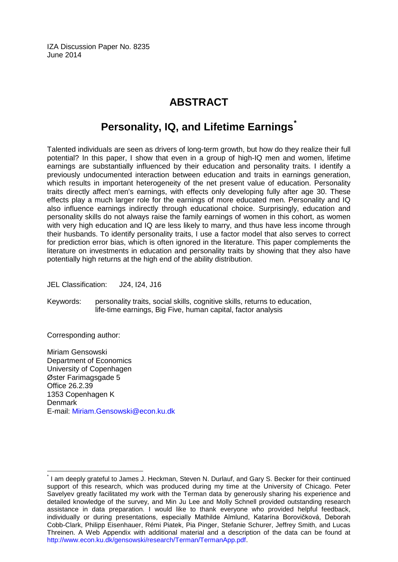IZA Discussion Paper No. 8235 June 2014

## **ABSTRACT**

## **Personality, IQ, and Lifetime Earnings[\\*](#page-1-0)**

Talented individuals are seen as drivers of long-term growth, but how do they realize their full potential? In this paper, I show that even in a group of high-IQ men and women, lifetime earnings are substantially influenced by their education and personality traits. I identify a previously undocumented interaction between education and traits in earnings generation, which results in important heterogeneity of the net present value of education. Personality traits directly affect men's earnings, with effects only developing fully after age 30. These effects play a much larger role for the earnings of more educated men. Personality and IQ also influence earnings indirectly through educational choice. Surprisingly, education and personality skills do not always raise the family earnings of women in this cohort, as women with very high education and IQ are less likely to marry, and thus have less income through their husbands. To identify personality traits, I use a factor model that also serves to correct for prediction error bias, which is often ignored in the literature. This paper complements the literature on investments in education and personality traits by showing that they also have potentially high returns at the high end of the ability distribution.

JEL Classification: J24, I24, J16

Keywords: personality traits, social skills, cognitive skills, returns to education, life-time earnings, Big Five, human capital, factor analysis

Corresponding author:

Miriam Gensowski Department of Economics University of Copenhagen Øster Farimagsgade 5 Office 26.2.39 1353 Copenhagen K Denmark E-mail: [Miriam.Gensowski@econ.ku.dk](mailto:Miriam.Gensowski@econ.ku.dk)

\* I am deeply grateful to James J. Heckman, Steven N. Durlauf, and Gary S. Becker for their continued support of this research, which was produced during my time at the University of Chicago. Peter Savelyev greatly facilitated my work with the Terman data by generously sharing his experience and detailed knowledge of the survey, and Min Ju Lee and Molly Schnell provided outstanding research assistance in data preparation. I would like to thank everyone who provided helpful feedback, individually or during presentations, especially Mathilde Almlund, Katarína Borovičková, Deborah Cobb-Clark, Philipp Eisenhauer, Rémi Piatek, Pia Pinger, Stefanie Schurer, Jeffrey Smith, and Lucas Threinen. A Web Appendix with additional material and a description of the data can be found at [http://www.econ.ku.dk/gensowski/research/Terman/TermanApp.pdf.](http://www.econ.ku.dk/gensowski/research/Terman/TermanApp.pdf)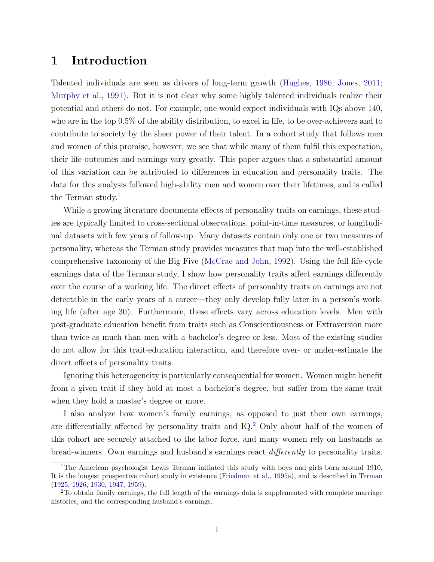## <span id="page-3-0"></span>1 Introduction

Talented individuals are seen as drivers of long-term growth [\(Hughes,](#page-42-0) [1986;](#page-42-0) [Jones,](#page-42-1) [2011;](#page-42-1) [Murphy et al.,](#page-43-0) [1991\)](#page-43-0). But it is not clear why some highly talented individuals realize their potential and others do not. For example, one would expect individuals with IQs above 140, who are in the top 0.5% of the ability distribution, to excel in life, to be over-achievers and to contribute to society by the sheer power of their talent. In a cohort study that follows men and women of this promise, however, we see that while many of them fulfil this expectation, their life outcomes and earnings vary greatly. This paper argues that a substantial amount of this variation can be attributed to differences in education and personality traits. The data for this analysis followed high-ability men and women over their lifetimes, and is called the Terman study.<sup>[1](#page--1-0)</sup>

While a growing literature documents effects of personality traits on earnings, these studies are typically limited to cross-sectional observations, point-in-time measures, or longitudinal datasets with few years of follow-up. Many datasets contain only one or two measures of personality, whereas the Terman study provides measures that map into the well-established comprehensive taxonomy of the Big Five [\(McCrae and John,](#page-43-1) [1992\)](#page-43-1). Using the full life-cycle earnings data of the Terman study, I show how personality traits affect earnings differently over the course of a working life. The direct effects of personality traits on earnings are not detectable in the early years of a career—they only develop fully later in a person's working life (after age 30). Furthermore, these effects vary across education levels. Men with post-graduate education benefit from traits such as Conscientiousness or Extraversion more than twice as much than men with a bachelor's degree or less. Most of the existing studies do not allow for this trait-education interaction, and therefore over- or under-estimate the direct effects of personality traits.

Ignoring this heterogeneity is particularly consequential for women. Women might benefit from a given trait if they hold at most a bachelor's degree, but suffer from the same trait when they hold a master's degree or more.

I also analyze how women's family earnings, as opposed to just their own earnings, are differentially affected by personality traits and IQ.[2](#page--1-0) Only about half of the women of this cohort are securely attached to the labor force, and many women rely on husbands as bread-winners. Own earnings and husband's earnings react differently to personality traits.

<sup>&</sup>lt;sup>1</sup>The American psychologist Lewis Terman initiated this study with boys and girls born around 1910. It is the longest prospective cohort study in existence [\(Friedman et al.,](#page-40-0) [1995a\)](#page-40-0), and is described in [Terman](#page-44-0) [\(1925,](#page-44-0) [1926,](#page-45-0) [1930,](#page-45-1) [1947,](#page-45-2) [1959\)](#page-45-3).

<sup>&</sup>lt;sup>2</sup>To obtain family earnings, the full length of the earnings data is supplemented with complete marriage histories, and the corresponding husband's earnings.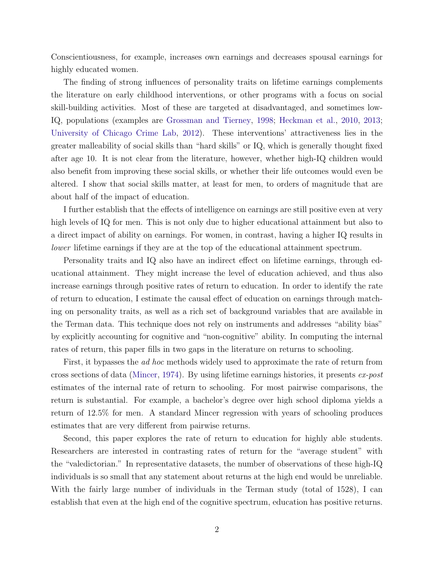Conscientiousness, for example, increases own earnings and decreases spousal earnings for highly educated women.

The finding of strong influences of personality traits on lifetime earnings complements the literature on early childhood interventions, or other programs with a focus on social skill-building activities. Most of these are targeted at disadvantaged, and sometimes low-IQ, populations (examples are [Grossman and Tierney,](#page-41-0) [1998;](#page-41-0) [Heckman et al.,](#page-41-1) [2010,](#page-41-1) [2013;](#page-41-2) [University of Chicago Crime Lab,](#page-46-0) [2012\)](#page-46-0). These interventions' attractiveness lies in the greater malleability of social skills than "hard skills" or IQ, which is generally thought fixed after age 10. It is not clear from the literature, however, whether high-IQ children would also benefit from improving these social skills, or whether their life outcomes would even be altered. I show that social skills matter, at least for men, to orders of magnitude that are about half of the impact of education.

I further establish that the effects of intelligence on earnings are still positive even at very high levels of IQ for men. This is not only due to higher educational attainment but also to a direct impact of ability on earnings. For women, in contrast, having a higher IQ results in lower lifetime earnings if they are at the top of the educational attainment spectrum.

Personality traits and IQ also have an indirect effect on lifetime earnings, through educational attainment. They might increase the level of education achieved, and thus also increase earnings through positive rates of return to education. In order to identify the rate of return to education, I estimate the causal effect of education on earnings through matching on personality traits, as well as a rich set of background variables that are available in the Terman data. This technique does not rely on instruments and addresses "ability bias" by explicitly accounting for cognitive and "non-cognitive" ability. In computing the internal rates of return, this paper fills in two gaps in the literature on returns to schooling.

First, it bypasses the *ad hoc* methods widely used to approximate the rate of return from cross sections of data [\(Mincer,](#page-43-2) [1974\)](#page-43-2). By using lifetime earnings histories, it presents  $ex$ -post estimates of the internal rate of return to schooling. For most pairwise comparisons, the return is substantial. For example, a bachelor's degree over high school diploma yields a return of 12.5% for men. A standard Mincer regression with years of schooling produces estimates that are very different from pairwise returns.

Second, this paper explores the rate of return to education for highly able students. Researchers are interested in contrasting rates of return for the "average student" with the "valedictorian." In representative datasets, the number of observations of these high-IQ individuals is so small that any statement about returns at the high end would be unreliable. With the fairly large number of individuals in the Terman study (total of 1528), I can establish that even at the high end of the cognitive spectrum, education has positive returns.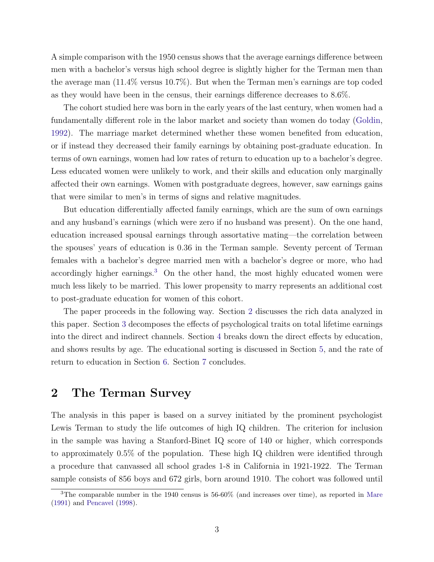A simple comparison with the 1950 census shows that the average earnings difference between men with a bachelor's versus high school degree is slightly higher for the Terman men than the average man (11.4% versus 10.7%). But when the Terman men's earnings are top coded as they would have been in the census, their earnings difference decreases to 8.6%.

The cohort studied here was born in the early years of the last century, when women had a fundamentally different role in the labor market and society than women do today [\(Goldin,](#page-40-1) [1992\)](#page-40-1). The marriage market determined whether these women benefited from education, or if instead they decreased their family earnings by obtaining post-graduate education. In terms of own earnings, women had low rates of return to education up to a bachelor's degree. Less educated women were unlikely to work, and their skills and education only marginally affected their own earnings. Women with postgraduate degrees, however, saw earnings gains that were similar to men's in terms of signs and relative magnitudes.

But education differentially affected family earnings, which are the sum of own earnings and any husband's earnings (which were zero if no husband was present). On the one hand, education increased spousal earnings through assortative mating—the correlation between the spouses' years of education is 0.36 in the Terman sample. Seventy percent of Terman females with a bachelor's degree married men with a bachelor's degree or more, who had accordingly higher earnings.<sup>[3](#page--1-0)</sup> On the other hand, the most highly educated women were much less likely to be married. This lower propensity to marry represents an additional cost to post-graduate education for women of this cohort.

The paper proceeds in the following way. Section [2](#page-5-0) discusses the rich data analyzed in this paper. Section [3](#page-9-0) decomposes the effects of psychological traits on total lifetime earnings into the direct and indirect channels. Section [4](#page-13-0) breaks down the direct effects by education, and shows results by age. The educational sorting is discussed in Section [5,](#page-24-0) and the rate of return to education in Section [6.](#page-26-0) Section [7](#page-37-0) concludes.

## <span id="page-5-0"></span>2 The Terman Survey

The analysis in this paper is based on a survey initiated by the prominent psychologist Lewis Terman to study the life outcomes of high IQ children. The criterion for inclusion in the sample was having a Stanford-Binet IQ score of 140 or higher, which corresponds to approximately 0.5% of the population. These high IQ children were identified through a procedure that canvassed all school grades 1-8 in California in 1921-1922. The Terman sample consists of 856 boys and 672 girls, born around 1910. The cohort was followed until

<sup>3</sup>The comparable number in the 1940 census is 56-60% (and increases over time), as reported in [Mare](#page-42-2) [\(1991\)](#page-42-2) and [Pencavel](#page-44-1) [\(1998\)](#page-44-1).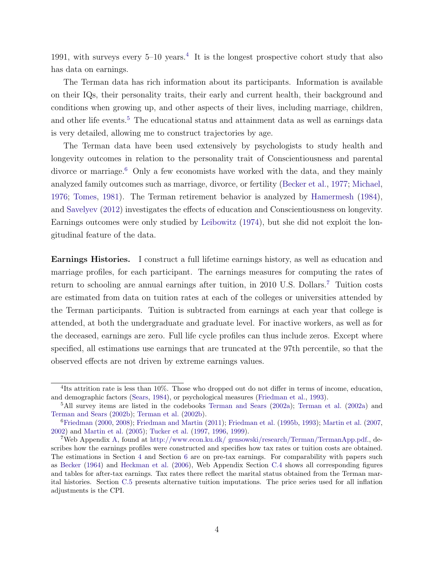1991, with surveys every  $5{\text -}10$  years.<sup>[4](#page--1-0)</sup> It is the longest prospective cohort study that also has data on earnings.

The Terman data has rich information about its participants. Information is available on their IQs, their personality traits, their early and current health, their background and conditions when growing up, and other aspects of their lives, including marriage, children, and other life events.<sup>[5](#page--1-0)</sup> The educational status and attainment data as well as earnings data is very detailed, allowing me to construct trajectories by age.

The Terman data have been used extensively by psychologists to study health and longevity outcomes in relation to the personality trait of Conscientiousness and parental divorce or marriage.<sup>[6](#page--1-0)</sup> Only a few economists have worked with the data, and they mainly analyzed family outcomes such as marriage, divorce, or fertility [\(Becker et al.,](#page-39-0) [1977;](#page-39-0) [Michael,](#page-43-3) [1976;](#page-43-3) [Tomes,](#page-45-4) [1981\)](#page-45-4). The Terman retirement behavior is analyzed by [Hamermesh](#page-41-3) [\(1984\)](#page-41-3), and [Savelyev](#page-44-2) [\(2012\)](#page-44-2) investigates the effects of education and Conscientiousness on longevity. Earnings outcomes were only studied by [Leibowitz](#page-42-3) [\(1974\)](#page-42-3), but she did not exploit the longitudinal feature of the data.

Earnings Histories. I construct a full lifetime earnings history, as well as education and marriage profiles, for each participant. The earnings measures for computing the rates of return to schooling are annual earnings after tuition, in 2010 U.S. Dollars.[7](#page--1-0) Tuition costs are estimated from data on tuition rates at each of the colleges or universities attended by the Terman participants. Tuition is subtracted from earnings at each year that college is attended, at both the undergraduate and graduate level. For inactive workers, as well as for the deceased, earnings are zero. Full life cycle profiles can thus include zeros. Except where specified, all estimations use earnings that are truncated at the 97th percentile, so that the observed effects are not driven by extreme earnings values.

<sup>&</sup>lt;sup>4</sup>Its attrition rate is less than 10%. Those who dropped out do not differ in terms of income, education, and demographic factors [\(Sears,](#page-44-3) [1984\)](#page-44-3), or psychological measures [\(Friedman et al.,](#page-40-2) [1993\)](#page-40-2).

<sup>5</sup>All survey items are listed in the codebooks [Terman and Sears](#page-45-5) [\(2002a\)](#page-45-5); [Terman et al.](#page-45-6) [\(2002a\)](#page-45-6) and [Terman and Sears](#page-45-7) [\(2002b\)](#page-45-7); [Terman et al.](#page-45-8) [\(2002b\)](#page-45-8).

<sup>6</sup>[Friedman](#page-40-3) [\(2000,](#page-40-3) [2008\)](#page-40-4); [Friedman and Martin](#page-40-5) [\(2011\)](#page-40-5); [Friedman et al.](#page-40-6) [\(1995b,](#page-40-6) [1993\)](#page-40-2); [Martin et al.](#page-43-4) [\(2007,](#page-43-4) [2002\)](#page-43-5) and [Martin et al.](#page-43-6) [\(2005\)](#page-43-6); [Tucker et al.](#page-45-9) [\(1997,](#page-45-9) [1996,](#page-45-10) [1999\)](#page-45-11).

<sup>7</sup>Web Appendix [A,](#page-3-0) found at [http://www.econ.ku.dk/ gensowski/research/Terman/TermanApp.pdf.](http://www.econ.ku.dk/gensowski/research/Terman/TermanApp.pdf), describes how the earnings profiles were constructed and specifies how tax rates or tuition costs are obtained. The estimations in Section [4](#page-13-0) and Section [6](#page-26-0) are on pre-tax earnings. For comparability with papers such as [Becker](#page-39-1) [\(1964\)](#page-39-1) and [Heckman et al.](#page-41-4) [\(2006\)](#page-41-4), Web Appendix Section [C.4](#page--1-0) shows all corresponding figures and tables for after-tax earnings. Tax rates there reflect the marital status obtained from the Terman marital histories. Section [C.5](#page--1-0) presents alternative tuition imputations. The price series used for all inflation adjustments is the CPI.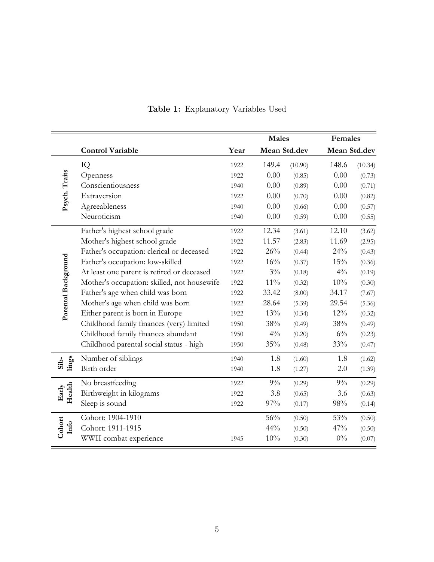<span id="page-7-0"></span>

|                     |                                             | <b>Males</b> |              |         |              | Females |  |
|---------------------|---------------------------------------------|--------------|--------------|---------|--------------|---------|--|
|                     | <b>Control Variable</b>                     | Year         | Mean Std.dev |         | Mean Std.dev |         |  |
|                     | IQ                                          | 1922         | 149.4        | (10.90) | 148.6        | (10.34) |  |
| Psych. Traits       | Openness                                    | 1922         | 0.00         | (0.85)  | 0.00         | (0.73)  |  |
|                     | Conscientiousness                           | 1940         | 0.00         | (0.89)  | 0.00         | (0.71)  |  |
|                     | Extraversion                                | 1922         | 0.00         | (0.70)  | 0.00         | (0.82)  |  |
|                     | Agreeableness                               | 1940         | $0.00\,$     | (0.66)  | 0.00         | (0.57)  |  |
|                     | Neuroticism                                 | 1940         | 0.00         | (0.59)  | 0.00         | (0.55)  |  |
|                     | Father's highest school grade               | 1922         | 12.34        | (3.61)  | 12.10        | (3.62)  |  |
|                     | Mother's highest school grade               | 1922         | 11.57        | (2.83)  | 11.69        | (2.95)  |  |
|                     | Father's occupation: clerical or deceased   | 1922         | 26%          | (0.44)  | 24%          | (0.43)  |  |
| Parental Background | Father's occupation: low-skilled            | 1922         | 16%          | (0.37)  | 15%          | (0.36)  |  |
|                     | At least one parent is retired or deceased  | 1922         | $3\%$        | (0.18)  | $4\%$        | (0.19)  |  |
|                     | Mother's occupation: skilled, not housewife | 1922         | $11\%$       | (0.32)  | 10%          | (0.30)  |  |
|                     | Father's age when child was born            | 1922         | 33.42        | (8.00)  | 34.17        | (7.67)  |  |
|                     | Mother's age when child was born            | 1922         | 28.64        | (5.39)  | 29.54        | (5.36)  |  |
|                     | Either parent is born in Europe             | 1922         | 13%          | (0.34)  | $12\%$       | (0.32)  |  |
|                     | Childhood family finances (very) limited    | 1950         | 38%          | (0.49)  | 38%          | (0.49)  |  |
|                     | Childhood family finances abundant          | 1950         | $4\%$        | (0.20)  | $6\%$        | (0.23)  |  |
|                     | Childhood parental social status - high     | 1950         | 35%          | (0.48)  | 33%          | (0.47)  |  |
| lings<br>Sib-       | Number of siblings                          | 1940         | 1.8          | (1.60)  | 1.8          | (1.62)  |  |
|                     | Birth order                                 | 1940         | 1.8          | (1.27)  | 2.0          | (1.39)  |  |
|                     | No breastfeeding                            | 1922         | $9\%$        | (0.29)  | $9\%$        | (0.29)  |  |
| Health<br>Early     | Birthweight in kilograms                    | 1922         | 3.8          | (0.65)  | 3.6          | (0.63)  |  |
|                     | Sleep is sound                              | 1922         | 97%          | (0.17)  | 98%          | (0.14)  |  |
|                     | Cohort: 1904-1910                           |              | 56%          | (0.50)  | 53%          | (0.50)  |  |
| Cohort<br>Info      | Cohort: 1911-1915                           |              | 44%          | (0.50)  | 47%          | (0.50)  |  |
|                     | WWII combat experience                      | 1945         | $10\%$       | (0.30)  | $0\%$        | (0.07)  |  |

## Table 1: Explanatory Variables Used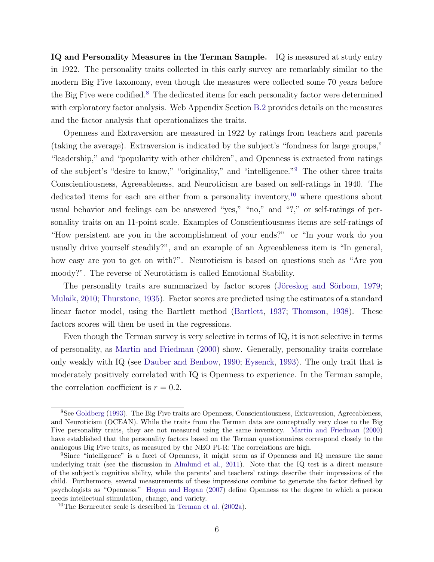IQ and Personality Measures in the Terman Sample. IQ is measured at study entry in 1922. The personality traits collected in this early survey are remarkably similar to the modern Big Five taxonomy, even though the measures were collected some 70 years before the Big Five were codified.<sup>[8](#page--1-0)</sup> The dedicated items for each personality factor were determined with exploratory factor analysis. Web Appendix Section [B.2](#page--1-0) provides details on the measures and the factor analysis that operationalizes the traits.

Openness and Extraversion are measured in 1922 by ratings from teachers and parents (taking the average). Extraversion is indicated by the subject's "fondness for large groups," "leadership," and "popularity with other children", and Openness is extracted from ratings of the subject's "desire to know," "originality," and "intelligence."[9](#page--1-0) The other three traits Conscientiousness, Agreeableness, and Neuroticism are based on self-ratings in 1940. The dedicated items for each are either from a personality inventory,<sup>[10](#page--1-0)</sup> where questions about usual behavior and feelings can be answered "yes," "no," and "?," or self-ratings of personality traits on an 11-point scale. Examples of Conscientiousness items are self-ratings of "How persistent are you in the accomplishment of your ends?" or "In your work do you usually drive yourself steadily?", and an example of an Agreeableness item is "In general, how easy are you to get on with?". Neuroticism is based on questions such as "Are you moody?". The reverse of Neuroticism is called Emotional Stability.

The personality traits are summarized by factor scores (Jöreskog and Sörbom, [1979;](#page-42-4) [Mulaik,](#page-43-7) [2010;](#page-43-7) [Thurstone,](#page-45-12) [1935\)](#page-45-12). Factor scores are predicted using the estimates of a standard linear factor model, using the Bartlett method [\(Bartlett,](#page-39-2) [1937;](#page-39-2) [Thomson,](#page-45-13) [1938\)](#page-45-13). These factors scores will then be used in the regressions.

Even though the Terman survey is very selective in terms of IQ, it is not selective in terms of personality, as [Martin and Friedman](#page-42-5) [\(2000\)](#page-42-5) show. Generally, personality traits correlate only weakly with IQ (see [Dauber and Benbow,](#page-40-7) [1990;](#page-40-7) [Eysenck,](#page-40-8) [1993\)](#page-40-8). The only trait that is moderately positively correlated with IQ is Openness to experience. In the Terman sample, the correlation coefficient is  $r = 0.2$ .

<sup>8</sup>See [Goldberg](#page-40-9) [\(1993\)](#page-40-9). The Big Five traits are Openness, Conscientiousness, Extraversion, Agreeableness, and Neuroticism (OCEAN). While the traits from the Terman data are conceptually very close to the Big Five personality traits, they are not measured using the same inventory. [Martin and Friedman](#page-42-5) [\(2000\)](#page-42-5) have established that the personality factors based on the Terman questionnaires correspond closely to the analogous Big Five traits, as measured by the NEO PI-R: The correlations are high.

<sup>9</sup>Since "intelligence" is a facet of Openness, it might seem as if Openness and IQ measure the same underlying trait (see the discussion in [Almlund et al.,](#page-39-3) [2011\)](#page-39-3). Note that the IQ test is a direct measure of the subject's cognitive ability, while the parents' and teachers' ratings describe their impressions of the child. Furthermore, several measurements of these impressions combine to generate the factor defined by psychologists as "Openness." [Hogan and Hogan](#page-41-5) [\(2007\)](#page-41-5) define Openness as the degree to which a person needs intellectual stimulation, change, and variety.

<sup>10</sup>The Bernreuter scale is described in [Terman et al.](#page-45-6) [\(2002a\)](#page-45-6).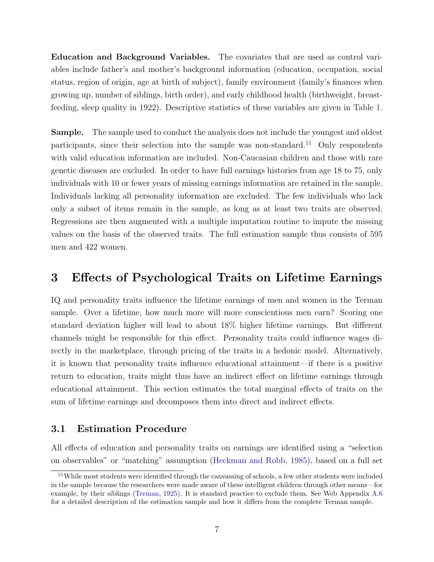Education and Background Variables. The covariates that are used as control variables include father's and mother's background information (education, occupation, social status, region of origin, age at birth of subject), family environment (family's finances when growing up, number of siblings, birth order), and early childhood health (birthweight, breastfeeding, sleep quality in 1922). Descriptive statistics of these variables are given in Table [1.](#page-7-0)

Sample. The sample used to conduct the analysis does not include the youngest and oldest participants, since their selection into the sample was non-standard.<sup>[11](#page--1-0)</sup> Only respondents with valid education information are included. Non-Caucasian children and those with rare genetic diseases are excluded. In order to have full earnings histories from age 18 to 75, only individuals with 10 or fewer years of missing earnings information are retained in the sample. Individuals lacking all personality information are excluded. The few individuals who lack only a subset of items remain in the sample, as long as at least two traits are observed. Regressions are then augmented with a multiple imputation routine to impute the missing values on the basis of the observed traits. The full estimation sample thus consists of 595 men and 422 women.

## <span id="page-9-0"></span>3 Effects of Psychological Traits on Lifetime Earnings

IQ and personality traits influence the lifetime earnings of men and women in the Terman sample. Over a lifetime, how much more will more conscientious men earn? Scoring one standard deviation higher will lead to about 18% higher lifetime earnings. But different channels might be responsible for this effect. Personality traits could influence wages directly in the marketplace, through pricing of the traits in a hedonic model. Alternatively, it is known that personality traits influence educational attainment—if there is a positive return to education, traits might thus have an indirect effect on lifetime earnings through educational attainment. This section estimates the total marginal effects of traits on the sum of lifetime earnings and decomposes them into direct and indirect effects.

#### <span id="page-9-1"></span>3.1 Estimation Procedure

All effects of education and personality traits on earnings are identified using a "selection on observables" or "matching" assumption [\(Heckman and Robb,](#page-41-6) [1985\)](#page-41-6), based on a full set

<sup>&</sup>lt;sup>11</sup>While most students were identified through the canvassing of schools, a few other students were included in the sample because the researchers were made aware of these intelligent children through other means—for example, by their siblings [\(Terman,](#page-44-0) [1925\)](#page-44-0). It is standard practice to exclude them. See Web Appendix [A.6](#page--1-0) for a detailed description of the estimation sample and how it differs from the complete Terman sample.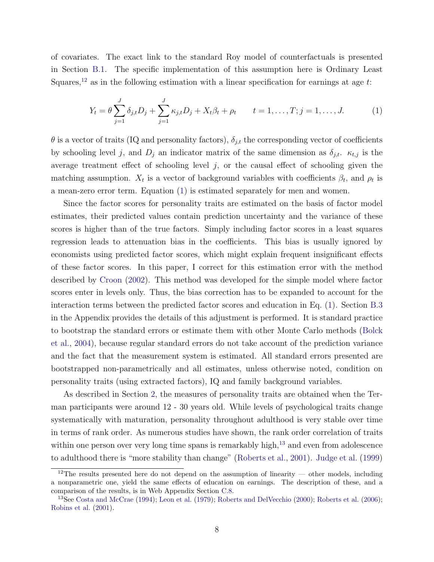of covariates. The exact link to the standard Roy model of counterfactuals is presented in Section [B.1.](#page--1-0) The specific implementation of this assumption here is Ordinary Least Squares,<sup>[12](#page--1-0)</sup> as in the following estimation with a linear specification for earnings at age  $t$ :

<span id="page-10-0"></span>
$$
Y_t = \theta \sum_{j=1}^J \delta_{j,t} D_j + \sum_{j=1}^J \kappa_{j,t} D_j + X_t \beta_t + \rho_t \qquad t = 1, ..., T; j = 1, ..., J.
$$
 (1)

 $\theta$  is a vector of traits (IQ and personality factors),  $\delta_{j,t}$  the corresponding vector of coefficients by schooling level j, and  $D_j$  an indicator matrix of the same dimension as  $\delta_{j,t}$ .  $\kappa_{t,j}$  is the average treatment effect of schooling level  $j$ , or the causal effect of schooling given the matching assumption.  $X_t$  is a vector of background variables with coefficients  $\beta_t$ , and  $\rho_t$  is a mean-zero error term. Equation [\(1\)](#page-10-0) is estimated separately for men and women.

Since the factor scores for personality traits are estimated on the basis of factor model estimates, their predicted values contain prediction uncertainty and the variance of these scores is higher than of the true factors. Simply including factor scores in a least squares regression leads to attenuation bias in the coefficients. This bias is usually ignored by economists using predicted factor scores, which might explain frequent insignificant effects of these factor scores. In this paper, I correct for this estimation error with the method described by [Croon](#page-40-10) [\(2002\)](#page-40-10). This method was developed for the simple model where factor scores enter in levels only. Thus, the bias correction has to be expanded to account for the interaction terms between the predicted factor scores and education in Eq. [\(1\)](#page-10-0). Section [B.3](#page--1-0) in the Appendix provides the details of this adjustment is performed. It is standard practice to bootstrap the standard errors or estimate them with other Monte Carlo methods [\(Bolck](#page-39-4) [et al.,](#page-39-4) [2004\)](#page-39-4), because regular standard errors do not take account of the prediction variance and the fact that the measurement system is estimated. All standard errors presented are bootstrapped non-parametrically and all estimates, unless otherwise noted, condition on personality traits (using extracted factors), IQ and family background variables.

As described in Section [2,](#page-5-0) the measures of personality traits are obtained when the Terman participants were around 12 - 30 years old. While levels of psychological traits change systematically with maturation, personality throughout adulthood is very stable over time in terms of rank order. As numerous studies have shown, the rank order correlation of traits within one person over very long time spans is remarkably high, $^{13}$  $^{13}$  $^{13}$  and even from adolescence to adulthood there is "more stability than change" [\(Roberts et al.,](#page-44-4) [2001\)](#page-44-4). [Judge et al.](#page-42-6) [\(1999\)](#page-42-6)

<sup>&</sup>lt;sup>12</sup>The results presented here do not depend on the assumption of linearity — other models, including a nonparametric one, yield the same effects of education on earnings. The description of these, and a comparison of the results, is in Web Appendix Section [C.8.](#page--1-0)

<sup>&</sup>lt;sup>13</sup>See [Costa and McCrae](#page-39-5) [\(1994\)](#page-39-5); [Leon et al.](#page-42-7) [\(1979\)](#page-42-7); [Roberts and DelVecchio](#page-44-5) [\(2000\)](#page-44-5); [Roberts et al.](#page-44-6) [\(2006\)](#page-44-6); [Robins et al.](#page-44-7) [\(2001\)](#page-44-7).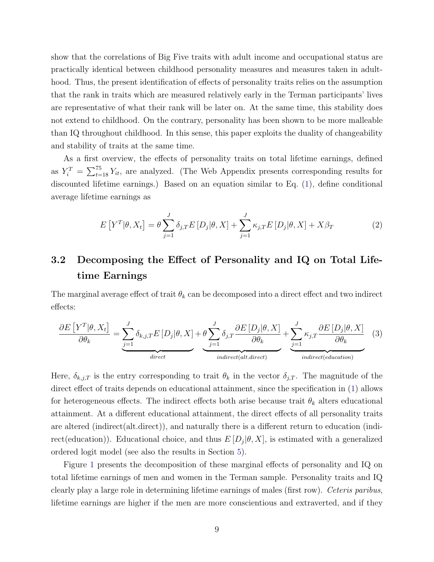show that the correlations of Big Five traits with adult income and occupational status are practically identical between childhood personality measures and measures taken in adulthood. Thus, the present identification of effects of personality traits relies on the assumption that the rank in traits which are measured relatively early in the Terman participants' lives are representative of what their rank will be later on. At the same time, this stability does not extend to childhood. On the contrary, personality has been shown to be more malleable than IQ throughout childhood. In this sense, this paper exploits the duality of changeability and stability of traits at the same time.

As a first overview, the effects of personality traits on total lifetime earnings, defined as  $Y_i^T = \sum_{t=18}^{75} Y_{it}$ , are analyzed. (The Web Appendix presents corresponding results for discounted lifetime earnings.) Based on an equation similar to Eq. [\(1\)](#page-10-0), define conditional average lifetime earnings as

<span id="page-11-1"></span>
$$
E\left[Y^{T}|\theta, X_{t}\right] = \theta \sum_{j=1}^{J} \delta_{j,T} E\left[D_{j}|\theta, X\right] + \sum_{j=1}^{J} \kappa_{j,T} E\left[D_{j}|\theta, X\right] + X\beta_{T}
$$
\n(2)

## 3.2 Decomposing the Effect of Personality and IQ on Total Lifetime Earnings

The marginal average effect of trait  $\theta_k$  can be decomposed into a direct effect and two indirect effects:

<span id="page-11-0"></span>
$$
\frac{\partial E\left[Y^{T}|\theta, X_{t}\right]}{\partial \theta_{k}} = \underbrace{\sum_{j=1}^{J} \delta_{k,j,T} E\left[D_{j}|\theta, X\right]}_{direct} + \underbrace{\theta \sum_{j=1}^{J} \delta_{j,T} \frac{\partial E\left[D_{j}|\theta, X\right]}{\partial \theta_{k}}}_{indirect(alt.direct)} + \underbrace{\sum_{j=1}^{J} \kappa_{j,T} \frac{\partial E\left[D_{j}|\theta, X\right]}{\partial \theta_{k}} \quad (3)
$$

Here,  $\delta_{k,j,T}$  is the entry corresponding to trait  $\theta_k$  in the vector  $\delta_{j,T}$ . The magnitude of the direct effect of traits depends on educational attainment, since the specification in [\(1\)](#page-10-0) allows for heterogeneous effects. The indirect effects both arise because trait  $\theta_k$  alters educational attainment. At a different educational attainment, the direct effects of all personality traits are altered (indirect(alt.direct)), and naturally there is a different return to education (indirect(education)). Educational choice, and thus  $E[D_j|\theta, X]$ , is estimated with a generalized ordered logit model (see also the results in Section [5\)](#page-24-0).

Figure [1](#page-12-0) presents the decomposition of these marginal effects of personality and IQ on total lifetime earnings of men and women in the Terman sample. Personality traits and IQ clearly play a large role in determining lifetime earnings of males (first row). Ceteris paribus, lifetime earnings are higher if the men are more conscientious and extraverted, and if they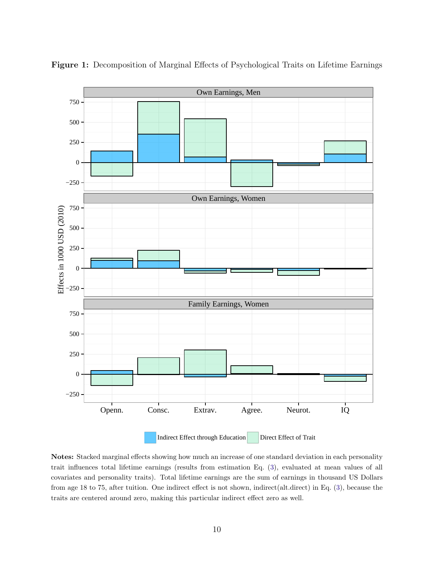

<span id="page-12-0"></span>Figure 1: Decomposition of Marginal Effects of Psychological Traits on Lifetime Earnings

Notes: Stacked marginal effects showing how much an increase of one standard deviation in each personality trait influences total lifetime earnings (results from estimation Eq. [\(3\)](#page-11-0), evaluated at mean values of all covariates and personality traits). Total lifetime earnings are the sum of earnings in thousand US Dollars from age 18 to 75, after tuition. One indirect effect is not shown, indirect(alt.direct) in Eq. [\(3\)](#page-11-0), because the traits are centered around zero, making this particular indirect effect zero as well.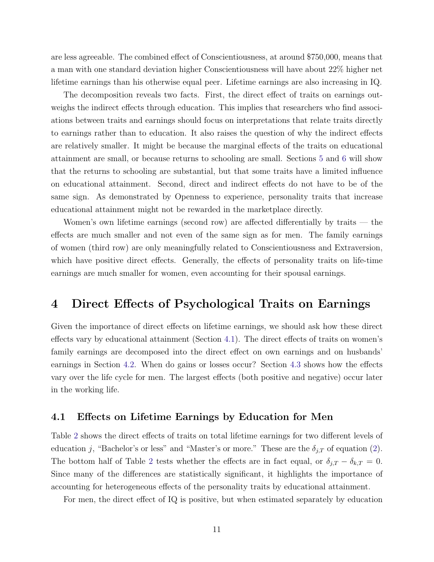are less agreeable. The combined effect of Conscientiousness, at around \$750,000, means that a man with one standard deviation higher Conscientiousness will have about 22% higher net lifetime earnings than his otherwise equal peer. Lifetime earnings are also increasing in IQ.

The decomposition reveals two facts. First, the direct effect of traits on earnings outweighs the indirect effects through education. This implies that researchers who find associations between traits and earnings should focus on interpretations that relate traits directly to earnings rather than to education. It also raises the question of why the indirect effects are relatively smaller. It might be because the marginal effects of the traits on educational attainment are small, or because returns to schooling are small. Sections [5](#page-24-0) and [6](#page-26-0) will show that the returns to schooling are substantial, but that some traits have a limited influence on educational attainment. Second, direct and indirect effects do not have to be of the same sign. As demonstrated by Openness to experience, personality traits that increase educational attainment might not be rewarded in the marketplace directly.

Women's own lifetime earnings (second row) are affected differentially by traits — the effects are much smaller and not even of the same sign as for men. The family earnings of women (third row) are only meaningfully related to Conscientiousness and Extraversion, which have positive direct effects. Generally, the effects of personality traits on life-time earnings are much smaller for women, even accounting for their spousal earnings.

### <span id="page-13-0"></span>4 Direct Effects of Psychological Traits on Earnings

Given the importance of direct effects on lifetime earnings, we should ask how these direct effects vary by educational attainment (Section [4.1\)](#page-13-1). The direct effects of traits on women's family earnings are decomposed into the direct effect on own earnings and on husbands' earnings in Section [4.2.](#page-17-0) When do gains or losses occur? Section [4.3](#page-20-0) shows how the effects vary over the life cycle for men. The largest effects (both positive and negative) occur later in the working life.

#### <span id="page-13-1"></span>4.1 Effects on Lifetime Earnings by Education for Men

Table [2](#page-14-0) shows the direct effects of traits on total lifetime earnings for two different levels of education j, "Bachelor's or less" and "Master's or more." These are the  $\delta_{j,T}$  of equation [\(2\)](#page-11-1). The bottom half of Table [2](#page-14-0) tests whether the effects are in fact equal, or  $\delta_{j,T} - \delta_{k,T} = 0$ . Since many of the differences are statistically significant, it highlights the importance of accounting for heterogeneous effects of the personality traits by educational attainment.

For men, the direct effect of IQ is positive, but when estimated separately by education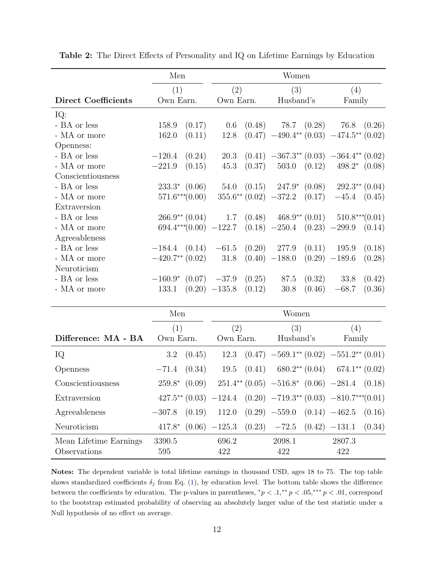|                            | Men                         | Women                        |                                                        |                                      |  |
|----------------------------|-----------------------------|------------------------------|--------------------------------------------------------|--------------------------------------|--|
|                            | (1)                         | (2)                          | (3)                                                    | (4)                                  |  |
| <b>Direct Coefficients</b> | Own Earn.                   | Own Earn.                    | Husband's                                              | Family                               |  |
| IQ:                        |                             |                              |                                                        |                                      |  |
| - BA or less               | (0.17)<br>158.9             | 0.6                          | $(0.48)$ 78.7 $(0.28)$ 76.8                            | (0.26)                               |  |
| - MA or more               | (0.11)<br>162.0             | 12.8                         | $(0.47)$ $-490.4^{**}$ $(0.03)$ $-474.5^{**}$ $(0.02)$ |                                      |  |
| Openness:                  |                             |                              |                                                        |                                      |  |
| - BA or less               | (0.24)<br>$-120.4$          | 20.3                         | $(0.41)$ $-367.3^{**}$ $(0.03)$ $-364.4^{**}$ $(0.02)$ |                                      |  |
| - MA or more               | (0.15)<br>$-221.9$          | (0.37)<br>45.3               | (0.12)<br>503.0                                        | $498.2*$ $(0.08)$                    |  |
| Conscientiousness          |                             |                              |                                                        |                                      |  |
| - BA or less               | $233.3*$ $(0.06)$           | 54.0<br>(0.15)               |                                                        | $247.9*$ $(0.08)$ $292.3**$ $(0.04)$ |  |
| - MA or more               | $571.6***(0.00)$            | $355.6^{**}$ (0.02) $-372.2$ | (0.17)                                                 | $-45.4$ $(0.45)$                     |  |
| Extraversion               |                             |                              |                                                        |                                      |  |
| - BA or less               | $266.9^{**}$ (0.04)         | 1.7<br>(0.48)                | $468.9**$ $(0.01)$                                     | $510.8***(0.01)$                     |  |
| - MA or more               | $694.4***(0.00) -122.7$     |                              | $(0.18)$ $-250.4$ $(0.23)$ $-299.9$ $(0.14)$           |                                      |  |
| Agreeableness              |                             |                              |                                                        |                                      |  |
| - BA or less               | $-184.4$ $(0.14)$           | (0.20)<br>$-61.5$            | 277.9<br>(0.11)                                        | 195.9<br>(0.18)                      |  |
| - MA or more               | $-420.7**$ (0.02)           | 31.8                         | $(0.40)$ -188.0                                        | $(0.29)$ -189.6<br>(0.28)            |  |
| Neuroticism                |                             |                              |                                                        |                                      |  |
| - BA or less               | $-160.9$ * $(0.07)$ $-37.9$ | (0.25)                       | 87.5<br>(0.32)                                         | 33.8<br>(0.42)                       |  |
| - MA or more               | 133.1                       | $(0.20)$ -135.8<br>(0.12)    | (0.46)<br>30.8                                         | (0.36)<br>$-68.7$                    |  |

<span id="page-14-0"></span>Table 2: The Direct Effects of Personality and IQ on Lifetime Earnings by Education

|                        | Men                | Women                                                                                 |                                                         |                                    |  |  |
|------------------------|--------------------|---------------------------------------------------------------------------------------|---------------------------------------------------------|------------------------------------|--|--|
|                        | (1)                | $\left( 2\right)$                                                                     | (3)                                                     | (4)                                |  |  |
| Difference: MA - BA    | Own Earn.          | Own Earn.                                                                             | Husband's                                               | Family                             |  |  |
| IQ                     | 3.2<br>(0.45)      | 12.3                                                                                  | $(0.47)$ -569.1** $(0.02)$ -551.2** $(0.01)$            |                                    |  |  |
| Openness               | (0.34)<br>$-71.4$  | (0.41)<br>19.5                                                                        | $680.2**$ $(0.04)$                                      | $674.1**$ $(0.02)$                 |  |  |
| Conscientiousness      | $259.8*$<br>(0.09) |                                                                                       | $251.4^{**}$ (0.05) $-516.8^{*}$ (0.06) $-281.4$ (0.18) |                                    |  |  |
| Extraversion           |                    | $427.5^{**}$ $(0.03)$ $-124.4$ $(0.20)$ $-719.3^{**}$ $(0.03)$ $-810.7^{**}$ $(0.01)$ |                                                         |                                    |  |  |
| Agreeableness          | (0.19)<br>$-307.8$ | 112.0                                                                                 | $(0.29)$ $-559.0$ $(0.14)$ $-462.5$                     | (0.16)                             |  |  |
| Neuroticism            | $417.8*$           | $(0.06)$ $-125.3$ $(0.23)$                                                            |                                                         | $-72.5$ $(0.42)$ $-131.1$ $(0.34)$ |  |  |
| Mean Lifetime Earnings | 3390.5             | 696.2                                                                                 | 2098.1                                                  | 2807.3                             |  |  |
| Observations           | 595                | 422                                                                                   | 422                                                     | 422                                |  |  |

Notes: The dependent variable is total lifetime earnings in thousand USD, ages 18 to 75. The top table shows standardized coefficients  $\delta_j$  from Eq. [\(1\)](#page-10-0), by education level. The bottom table shows the difference between the coefficients by education. The p-values in parentheses,  ${}^*p < .1, {}^{**}p < .05, {}^{***}p < .01$ , correspond to the bootstrap estimated probability of observing an absolutely larger value of the test statistic under a Null hypothesis of no effect on average.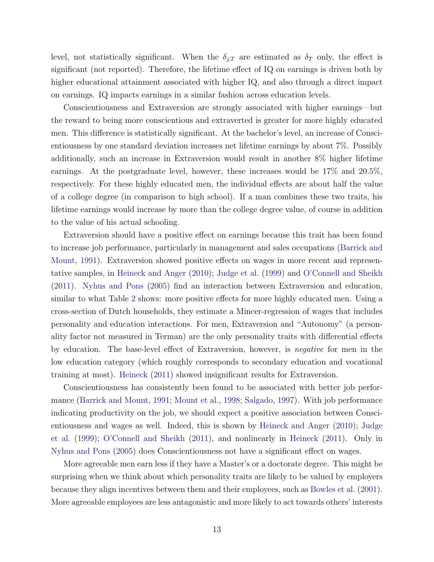level, not statistically significant. When the  $\delta_{j,T}$  are estimated as  $\delta_T$  only, the effect is significant (not reported). Therefore, the lifetime effect of IQ on earnings is driven both by higher educational attainment associated with higher IQ, and also through a direct impact on earnings. IQ impacts earnings in a similar fashion across education levels.

Conscientiousness and Extraversion are strongly associated with higher earnings—but the reward to being more conscientious and extraverted is greater for more highly educated men. This difference is statistically significant. At the bachelor's level, an increase of Conscientiousness by one standard deviation increases net lifetime earnings by about 7%. Possibly additionally, such an increase in Extraversion would result in another 8% higher lifetime earnings. At the postgraduate level, however, these increases would be 17% and 20.5%, respectively. For these highly educated men, the individual effects are about half the value of a college degree (in comparison to high school). If a man combines these two traits, his lifetime earnings would increase by more than the college degree value, of course in addition to the value of his actual schooling.

Extraversion should have a positive effect on earnings because this trait has been found to increase job performance, particularly in management and sales occupations [\(Barrick and](#page-39-6) [Mount,](#page-39-6) [1991\)](#page-39-6). Extraversion showed positive effects on wages in more recent and representative samples, in [Heineck and Anger](#page-41-7) [\(2010\)](#page-41-7); [Judge et al.](#page-42-6) [\(1999\)](#page-42-6) and [O'Connell and Sheikh](#page-44-8) [\(2011\)](#page-44-8). [Nyhus and Pons](#page-43-8) [\(2005\)](#page-43-8) find an interaction between Extraversion and education, similar to what Table [2](#page-14-0) shows: more positive effects for more highly educated men. Using a cross-section of Dutch households, they estimate a Mincer-regression of wages that includes personality and education interactions. For men, Extraversion and "Autonomy" (a personality factor not measured in Terman) are the only personality traits with differential effects by education. The base-level effect of Extraversion, however, is negative for men in the low education category (which roughly corresponds to secondary education and vocational training at most). [Heineck](#page-41-8) [\(2011\)](#page-41-8) showed insignificant results for Extraversion.

Conscientiousness has consistently been found to be associated with better job performance [\(Barrick and Mount,](#page-39-6) [1991;](#page-39-6) [Mount et al.,](#page-43-9) [1998;](#page-43-9) [Salgado,](#page-44-9) [1997\)](#page-44-9). With job performance indicating productivity on the job, we should expect a positive association between Conscientiousness and wages as well. Indeed, this is shown by [Heineck and Anger](#page-41-7) [\(2010\)](#page-41-7); [Judge](#page-42-6) [et al.](#page-42-6) [\(1999\)](#page-42-6); [O'Connell and Sheikh](#page-44-8) [\(2011\)](#page-44-8), and nonlinearly in [Heineck](#page-41-8) [\(2011\)](#page-41-8). Only in [Nyhus and Pons](#page-43-8) [\(2005\)](#page-43-8) does Conscientiousness not have a significant effect on wages.

More agreeable men earn less if they have a Master's or a doctorate degree. This might be surprising when we think about which personality traits are likely to be valued by employers because they align incentives between them and their employees, such as [Bowles et al.](#page-39-7) [\(2001\)](#page-39-7). More agreeable employees are less antagonistic and more likely to act towards others' interests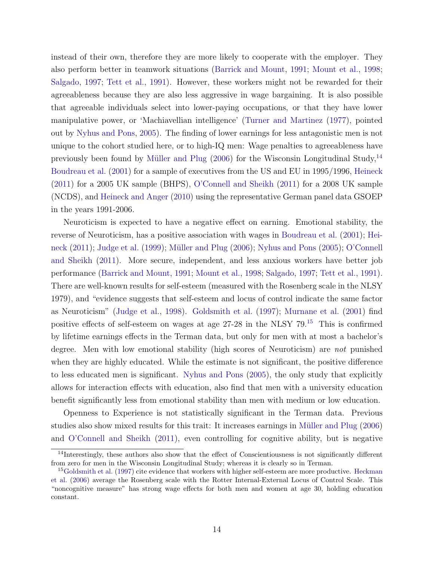instead of their own, therefore they are more likely to cooperate with the employer. They also perform better in teamwork situations [\(Barrick and Mount,](#page-39-6) [1991;](#page-39-6) [Mount et al.,](#page-43-9) [1998;](#page-43-9) [Salgado,](#page-44-9) [1997;](#page-44-9) [Tett et al.,](#page-45-14) [1991\)](#page-45-14). However, these workers might not be rewarded for their agreeableness because they are also less aggressive in wage bargaining. It is also possible that agreeable individuals select into lower-paying occupations, or that they have lower manipulative power, or 'Machiavellian intelligence' [\(Turner and Martinez](#page-46-1) [\(1977\)](#page-46-1), pointed out by [Nyhus and Pons,](#page-43-8) [2005\)](#page-43-8). The finding of lower earnings for less antagonistic men is not unique to the cohort studied here, or to high-IQ men: Wage penalties to agreeableness have previously been found by Müller and Plug  $(2006)$  for the Wisconsin Longitudinal Study,<sup>[14](#page--1-0)</sup> [Boudreau et al.](#page-39-8) [\(2001\)](#page-39-8) for a sample of executives from the US and EU in 1995/1996, [Heineck](#page-41-8) [\(2011\)](#page-41-8) for a 2005 UK sample (BHPS), [O'Connell and Sheikh](#page-44-8) [\(2011\)](#page-44-8) for a 2008 UK sample (NCDS), and [Heineck and Anger](#page-41-7) [\(2010\)](#page-41-7) using the representative German panel data GSOEP in the years 1991-2006.

Neuroticism is expected to have a negative effect on earning. Emotional stability, the reverse of Neuroticism, has a positive association with wages in [Boudreau et al.](#page-39-8) [\(2001\)](#page-39-8); [Hei](#page-41-8)[neck](#page-41-8) [\(2011\)](#page-41-8); [Judge et al.](#page-42-6) [\(1999\)](#page-42-6); Müller and Plug [\(2006\)](#page-43-10); [Nyhus and Pons](#page-43-8) [\(2005\)](#page-43-8); [O'Connell](#page-44-8) [and Sheikh](#page-44-8) [\(2011\)](#page-44-8). More secure, independent, and less anxious workers have better job performance [\(Barrick and Mount,](#page-39-6) [1991;](#page-39-6) [Mount et al.,](#page-43-9) [1998;](#page-43-9) [Salgado,](#page-44-9) [1997;](#page-44-9) [Tett et al.,](#page-45-14) [1991\)](#page-45-14). There are well-known results for self-esteem (measured with the Rosenberg scale in the NLSY 1979), and "evidence suggests that self-esteem and locus of control indicate the same factor as Neuroticism" [\(Judge et al.,](#page-42-8) [1998\)](#page-42-8). [Goldsmith et al.](#page-41-9) [\(1997\)](#page-41-9); [Murnane et al.](#page-43-11) [\(2001\)](#page-43-11) find positive effects of self-esteem on wages at age 27-28 in the NLSY 79.[15](#page--1-0) This is confirmed by lifetime earnings effects in the Terman data, but only for men with at most a bachelor's degree. Men with low emotional stability (high scores of Neuroticism) are not punished when they are highly educated. While the estimate is not significant, the positive difference to less educated men is significant. [Nyhus and Pons](#page-43-8) [\(2005\)](#page-43-8), the only study that explicitly allows for interaction effects with education, also find that men with a university education benefit significantly less from emotional stability than men with medium or low education.

Openness to Experience is not statistically significant in the Terman data. Previous studies also show mixed results for this trait: It increases earnings in Müller and Plug [\(2006\)](#page-43-10) and [O'Connell and Sheikh](#page-44-8) [\(2011\)](#page-44-8), even controlling for cognitive ability, but is negative

<sup>&</sup>lt;sup>14</sup>Interestingly, these authors also show that the effect of Conscientiousness is not significantly different from zero for men in the Wisconsin Longitudinal Study; whereas it is clearly so in Terman.

<sup>&</sup>lt;sup>15</sup>[Goldsmith et al.](#page-41-9) [\(1997\)](#page-41-9) cite evidence that workers with higher self-esteem are more productive. [Heckman](#page-41-10) [et al.](#page-41-10) [\(2006\)](#page-41-10) average the Rosenberg scale with the Rotter Internal-External Locus of Control Scale. This "noncognitive measure" has strong wage effects for both men and women at age 30, holding education constant.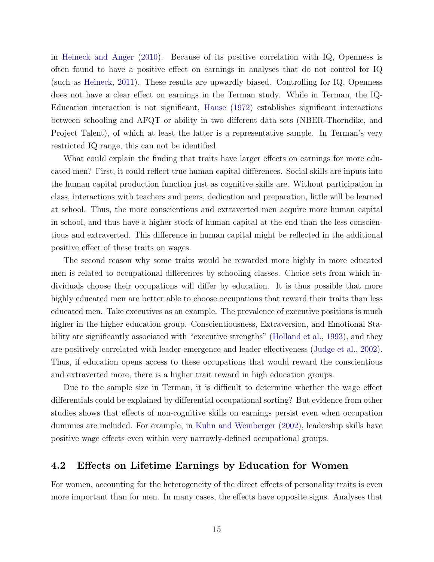in [Heineck and Anger](#page-41-7) [\(2010\)](#page-41-7). Because of its positive correlation with IQ, Openness is often found to have a positive effect on earnings in analyses that do not control for IQ (such as [Heineck,](#page-41-8) [2011\)](#page-41-8). These results are upwardly biased. Controlling for IQ, Openness does not have a clear effect on earnings in the Terman study. While in Terman, the IQ-Education interaction is not significant, [Hause](#page-41-11) [\(1972\)](#page-41-11) establishes significant interactions between schooling and AFQT or ability in two different data sets (NBER-Thorndike, and Project Talent), of which at least the latter is a representative sample. In Terman's very restricted IQ range, this can not be identified.

What could explain the finding that traits have larger effects on earnings for more educated men? First, it could reflect true human capital differences. Social skills are inputs into the human capital production function just as cognitive skills are. Without participation in class, interactions with teachers and peers, dedication and preparation, little will be learned at school. Thus, the more conscientious and extraverted men acquire more human capital in school, and thus have a higher stock of human capital at the end than the less conscientious and extraverted. This difference in human capital might be reflected in the additional positive effect of these traits on wages.

The second reason why some traits would be rewarded more highly in more educated men is related to occupational differences by schooling classes. Choice sets from which individuals choose their occupations will differ by education. It is thus possible that more highly educated men are better able to choose occupations that reward their traits than less educated men. Take executives as an example. The prevalence of executive positions is much higher in the higher education group. Conscientiousness, Extraversion, and Emotional Stability are significantly associated with "executive strengths" [\(Holland et al.,](#page-42-9) [1993\)](#page-42-9), and they are positively correlated with leader emergence and leader effectiveness [\(Judge et al.,](#page-42-10) [2002\)](#page-42-10). Thus, if education opens access to these occupations that would reward the conscientious and extraverted more, there is a higher trait reward in high education groups.

Due to the sample size in Terman, it is difficult to determine whether the wage effect differentials could be explained by differential occupational sorting? But evidence from other studies shows that effects of non-cognitive skills on earnings persist even when occupation dummies are included. For example, in [Kuhn and Weinberger](#page-42-11) [\(2002\)](#page-42-11), leadership skills have positive wage effects even within very narrowly-defined occupational groups.

#### <span id="page-17-0"></span>4.2 Effects on Lifetime Earnings by Education for Women

For women, accounting for the heterogeneity of the direct effects of personality traits is even more important than for men. In many cases, the effects have opposite signs. Analyses that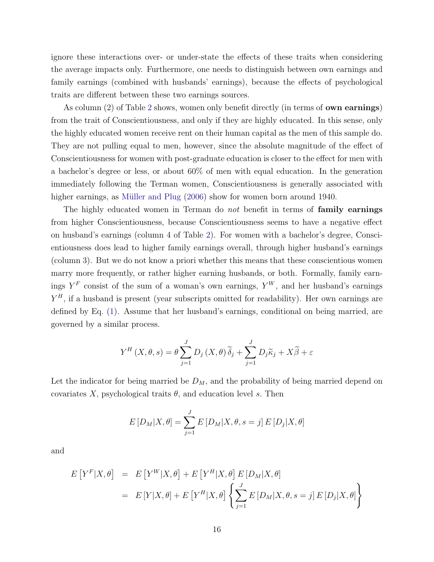ignore these interactions over- or under-state the effects of these traits when considering the average impacts only. Furthermore, one needs to distinguish between own earnings and family earnings (combined with husbands' earnings), because the effects of psychological traits are different between these two earnings sources.

As column ([2](#page-14-0)) of Table 2 shows, women only benefit directly (in terms of **own earnings**) from the trait of Conscientiousness, and only if they are highly educated. In this sense, only the highly educated women receive rent on their human capital as the men of this sample do. They are not pulling equal to men, however, since the absolute magnitude of the effect of Conscientiousness for women with post-graduate education is closer to the effect for men with a bachelor's degree or less, or about 60% of men with equal education. In the generation immediately following the Terman women, Conscientiousness is generally associated with higher earnings, as Müller and Plug [\(2006\)](#page-43-10) show for women born around 1940.

The highly educated women in Terman do not benefit in terms of family earnings from higher Conscientiousness, because Conscientiousness seems to have a negative effect on husband's earnings (column 4 of Table [2\)](#page-14-0). For women with a bachelor's degree, Conscientiousness does lead to higher family earnings overall, through higher husband's earnings (column 3). But we do not know a priori whether this means that these conscientious women marry more frequently, or rather higher earning husbands, or both. Formally, family earnings  $Y^F$  consist of the sum of a woman's own earnings,  $Y^W$ , and her husband's earnings  $Y<sup>H</sup>$ , if a husband is present (year subscripts omitted for readability). Her own earnings are defined by Eq. [\(1\)](#page-10-0). Assume that her husband's earnings, conditional on being married, are governed by a similar process.

$$
Y^{H}(X, \theta, s) = \theta \sum_{j=1}^{J} D_{j}(X, \theta) \widetilde{\delta}_{j} + \sum_{j=1}^{J} D_{j} \widetilde{\kappa}_{j} + X \widetilde{\beta} + \varepsilon
$$

Let the indicator for being married be  $D_M$ , and the probability of being married depend on covariates X, psychological traits  $\theta$ , and education level s. Then

$$
E[D_M|X,\theta] = \sum_{j=1}^{J} E[D_M|X,\theta,s=j] E[D_j|X,\theta]
$$

and

$$
E[Y^{F}|X,\theta] = E[Y^{W}|X,\theta] + E[Y^{H}|X,\theta] E[D_{M}|X,\theta]
$$
  
= 
$$
E[Y|X,\theta] + E[Y^{H}|X,\theta] \left\{ \sum_{j=1}^{J} E[D_{M}|X,\theta,s=j] E[D_{j}|X,\theta] \right\}
$$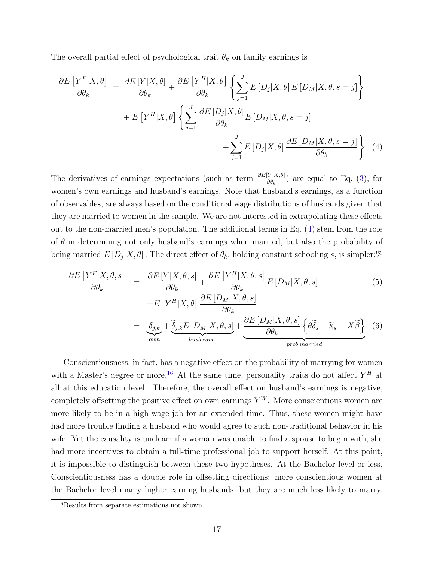The overall partial effect of psychological trait  $\theta_k$  on family earnings is

<span id="page-19-0"></span>
$$
\frac{\partial E\left[Y^{F}|X,\theta\right]}{\partial \theta_{k}} = \frac{\partial E\left[Y|X,\theta\right]}{\partial \theta_{k}} + \frac{\partial E\left[Y^{H}|X,\theta\right]}{\partial \theta_{k}} \left\{ \sum_{j=1}^{J} E\left[D_{j}|X,\theta\right] E\left[D_{M}|X,\theta,s=j\right] \right\} \n+ E\left[Y^{H}|X,\theta\right] \left\{ \sum_{j=1}^{J} \frac{\partial E\left[D_{j}|X,\theta\right]}{\partial \theta_{k}} E\left[D_{M}|X,\theta,s=j\right] \right. \n+ \sum_{j=1}^{J} E\left[D_{j}|X,\theta\right] \frac{\partial E\left[D_{M}|X,\theta,s=j\right]}{\partial \theta_{k}} \left\} \tag{4}
$$

The derivatives of earnings expectations (such as term  $\frac{\partial E[Y|X,\theta]}{\partial \theta_k}$ ) are equal to Eq. [\(3\)](#page-11-0), for women's own earnings and husband's earnings. Note that husband's earnings, as a function of observables, are always based on the conditional wage distributions of husbands given that they are married to women in the sample. We are not interested in extrapolating these effects out to the non-married men's population. The additional terms in Eq. [\(4\)](#page-19-0) stem from the role of  $\theta$  in determining not only husband's earnings when married, but also the probability of being married  $E[D_j|X,\theta]$ . The direct effect of  $\theta_k$ , holding constant schooling s, is simpler: %

$$
\frac{\partial E\left[Y^{F}|X,\theta,s\right]}{\partial\theta_{k}} = \frac{\partial E\left[Y|X,\theta,s\right]}{\partial\theta_{k}} + \frac{\partial E\left[Y^{H}|X,\theta,s\right]}{\partial\theta_{k}} E\left[D_{M}|X,\theta,s\right] \tag{5}
$$

$$
+E\left[Y^{H}|X,\theta\right] \frac{\partial E\left[D_{M}|X,\theta,s\right]}{\partial \theta_{k}}
$$
  
= 
$$
\underbrace{\delta_{j,k}}_{own} + \underbrace{\tilde{\delta}_{j,k}E\left[D_{M}|X,\theta,s\right]}_{husb.earn.} + \underbrace{\frac{\partial E\left[D_{M}|X,\theta,s\right]}{\partial \theta_{k}}\left\{\theta\tilde{\delta}_{s} + \tilde{\kappa}_{s} + X\tilde{\beta}\right\}}_{prob.married}
$$
 (6)

Conscientiousness, in fact, has a negative effect on the probability of marrying for women with a Master's degree or more.<sup>[16](#page--1-0)</sup> At the same time, personality traits do not affect  $Y^H$  at all at this education level. Therefore, the overall effect on husband's earnings is negative, completely offsetting the positive effect on own earnings  $Y^W$ . More conscientious women are more likely to be in a high-wage job for an extended time. Thus, these women might have had more trouble finding a husband who would agree to such non-traditional behavior in his wife. Yet the causality is unclear: if a woman was unable to find a spouse to begin with, she had more incentives to obtain a full-time professional job to support herself. At this point, it is impossible to distinguish between these two hypotheses. At the Bachelor level or less, Conscientiousness has a double role in offsetting directions: more conscientious women at the Bachelor level marry higher earning husbands, but they are much less likely to marry.

<sup>&</sup>lt;sup>16</sup>Results from separate estimations not shown.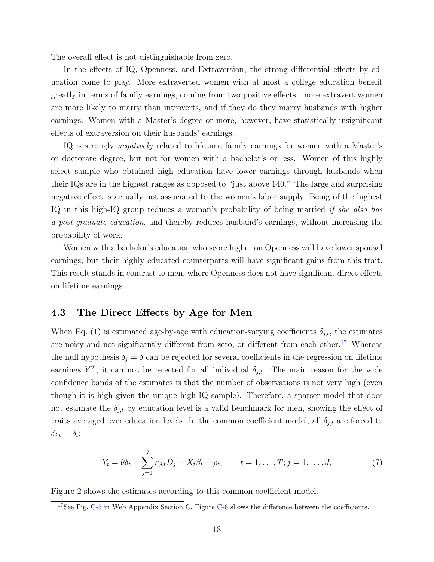The overall effect is not distinguishable from zero.

In the effects of IQ, Openness, and Extraversion, the strong differential effects by education come to play. More extraverted women with at most a college education benefit greatly in terms of family earnings, coming from two positive effects: more extravert women are more likely to marry than introverts, and if they do they marry husbands with higher earnings. Women with a Master's degree or more, however, have statistically insignificant effects of extraversion on their husbands' earnings.

IQ is strongly negatively related to lifetime family earnings for women with a Master's or doctorate degree, but not for women with a bachelor's or less. Women of this highly select sample who obtained high education have lower earnings through husbands when their IQs are in the highest ranges as opposed to "just above 140." The large and surprising negative effect is actually not associated to the women's labor supply. Being of the highest IQ in this high-IQ group reduces a woman's probability of being married if she also has a post-graduate education, and thereby reduces husband's earnings, without increasing the probability of work.

Women with a bachelor's education who score higher on Openness will have lower spousal earnings, but their highly educated counterparts will have significant gains from this trait. This result stands in contrast to men, where Openness does not have significant direct effects on lifetime earnings.

#### <span id="page-20-0"></span>4.3 The Direct Effects by Age for Men

When Eq. [\(1\)](#page-10-0) is estimated age-by-age with education-varying coefficients  $\delta_{i,t}$ , the estimates are noisy and not significantly different from zero, or different from each other.<sup>[17](#page--1-0)</sup> Whereas the null hypothesis  $\delta_j = \delta$  can be rejected for several coefficients in the regression on lifetime earnings  $Y^T$ , it can not be rejected for all individual  $\delta_{j,t}$ . The main reason for the wide confidence bands of the estimates is that the number of observations is not very high (even though it is high given the unique high-IQ sample). Therefore, a sparser model that does not estimate the  $\delta_{j,t}$  by education level is a valid benchmark for men, showing the effect of traits averaged over education levels. In the common coefficient model, all  $\delta_{j,t}$  are forced to  $\delta_{j,t} = \delta_t$ :

<span id="page-20-1"></span>
$$
Y_t = \theta \delta_t + \sum_{j=1}^J \kappa_{j,t} D_j + X_t \beta_t + \rho_t, \qquad t = 1, \dots, T; j = 1, \dots, J,
$$
 (7)

Figure [2](#page-21-0) shows the estimates according to this common coefficient model.

<sup>&</sup>lt;sup>17</sup>See Fig. [C-5](#page--1-0) in Web Appendix Section [C.](#page-9-0) Figure [C-6](#page--1-0) shows the difference between the coefficients.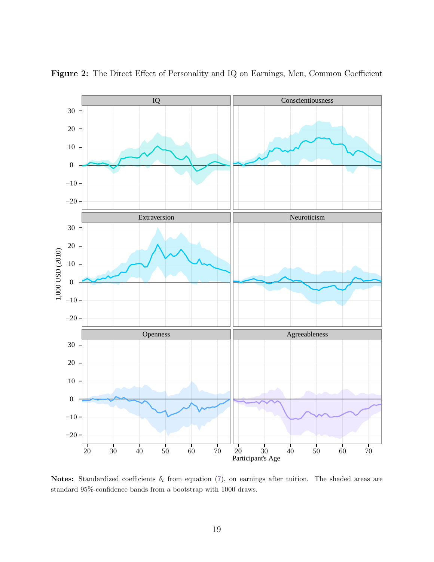

<span id="page-21-0"></span>Figure 2: The Direct Effect of Personality and IQ on Earnings, Men, Common Coefficient

Notes: Standardized coefficients  $\delta_t$  from equation [\(7\)](#page-20-1), on earnings after tuition. The shaded areas are standard 95%-confidence bands from a bootstrap with 1000 draws.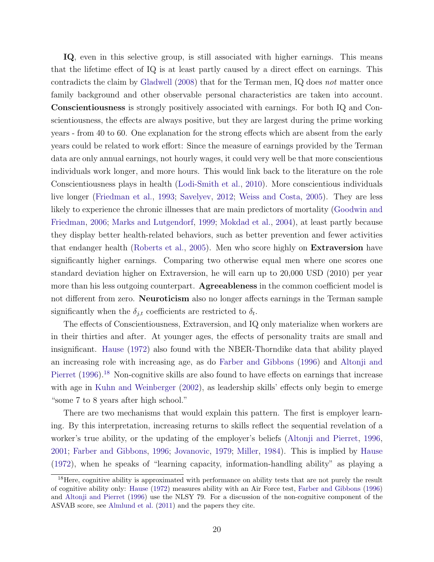IQ, even in this selective group, is still associated with higher earnings. This means that the lifetime effect of IQ is at least partly caused by a direct effect on earnings. This contradicts the claim by [Gladwell](#page-40-11) [\(2008\)](#page-40-11) that for the Terman men, IQ does not matter once family background and other observable personal characteristics are taken into account. Conscientiousness is strongly positively associated with earnings. For both IQ and Conscientiousness, the effects are always positive, but they are largest during the prime working years - from 40 to 60. One explanation for the strong effects which are absent from the early years could be related to work effort: Since the measure of earnings provided by the Terman data are only annual earnings, not hourly wages, it could very well be that more conscientious individuals work longer, and more hours. This would link back to the literature on the role Conscientiousness plays in health [\(Lodi-Smith et al.,](#page-42-12) [2010\)](#page-42-12). More conscientious individuals live longer [\(Friedman et al.,](#page-40-2) [1993;](#page-40-2) [Savelyev,](#page-44-2) [2012;](#page-44-2) [Weiss and Costa,](#page-46-2) [2005\)](#page-46-2). They are less likely to experience the chronic illnesses that are main predictors of mortality [\(Goodwin and](#page-41-12) [Friedman,](#page-41-12) [2006;](#page-41-12) [Marks and Lutgendorf,](#page-42-13) [1999;](#page-42-13) [Mokdad et al.,](#page-43-12) [2004\)](#page-43-12), at least partly because they display better health-related behaviors, such as better prevention and fewer activities that endanger health [\(Roberts et al.,](#page-44-10) [2005\)](#page-44-10). Men who score highly on Extraversion have significantly higher earnings. Comparing two otherwise equal men where one scores one standard deviation higher on Extraversion, he will earn up to 20,000 USD (2010) per year more than his less outgoing counterpart. Agreeableness in the common coefficient model is not different from zero. Neuroticism also no longer affects earnings in the Terman sample significantly when the  $\delta_{j,t}$  coefficients are restricted to  $\delta_t$ .

The effects of Conscientiousness, Extraversion, and IQ only materialize when workers are in their thirties and after. At younger ages, the effects of personality traits are small and insignificant. [Hause](#page-41-11) [\(1972\)](#page-41-11) also found with the NBER-Thorndike data that ability played an increasing role with increasing age, as do [Farber and Gibbons](#page-40-12) [\(1996\)](#page-40-12) and [Altonji and](#page-39-9) [Pierret](#page-39-9) [\(1996\)](#page-39-9).<sup>[18](#page--1-0)</sup> Non-cognitive skills are also found to have effects on earnings that increase with age in [Kuhn and Weinberger](#page-42-11) [\(2002\)](#page-42-11), as leadership skills' effects only begin to emerge "some 7 to 8 years after high school."

There are two mechanisms that would explain this pattern. The first is employer learning. By this interpretation, increasing returns to skills reflect the sequential revelation of a worker's true ability, or the updating of the employer's beliefs [\(Altonji and Pierret,](#page-39-9) [1996,](#page-39-9) [2001;](#page-39-10) [Farber and Gibbons,](#page-40-12) [1996;](#page-40-12) [Jovanovic,](#page-42-14) [1979;](#page-42-14) [Miller,](#page-43-13) [1984\)](#page-43-13). This is implied by [Hause](#page-41-11) [\(1972\)](#page-41-11), when he speaks of "learning capacity, information-handling ability" as playing a

<sup>&</sup>lt;sup>18</sup>Here, cognitive ability is approximated with performance on ability tests that are not purely the result of cognitive ability only: [Hause](#page-41-11) [\(1972\)](#page-41-11) measures ability with an Air Force test, [Farber and Gibbons](#page-40-12) [\(1996\)](#page-40-12) and [Altonji and Pierret](#page-39-9) [\(1996\)](#page-39-9) use the NLSY 79. For a discussion of the non-cognitive component of the ASVAB score, see [Almlund et al.](#page-39-3) [\(2011\)](#page-39-3) and the papers they cite.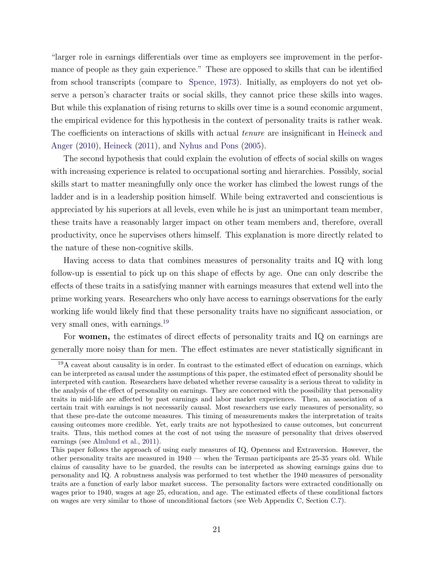"larger role in earnings differentials over time as employers see improvement in the performance of people as they gain experience." These are opposed to skills that can be identified from school transcripts (compare to [Spence,](#page-44-11) [1973\)](#page-44-11). Initially, as employers do not yet observe a person's character traits or social skills, they cannot price these skills into wages. But while this explanation of rising returns to skills over time is a sound economic argument, the empirical evidence for this hypothesis in the context of personality traits is rather weak. The coefficients on interactions of skills with actual *tenure* are insignificant in [Heineck and](#page-41-7) [Anger](#page-41-7) [\(2010\)](#page-41-7), [Heineck](#page-41-8) [\(2011\)](#page-41-8), and [Nyhus and Pons](#page-43-8) [\(2005\)](#page-43-8).

The second hypothesis that could explain the evolution of effects of social skills on wages with increasing experience is related to occupational sorting and hierarchies. Possibly, social skills start to matter meaningfully only once the worker has climbed the lowest rungs of the ladder and is in a leadership position himself. While being extraverted and conscientious is appreciated by his superiors at all levels, even while he is just an unimportant team member, these traits have a reasonably larger impact on other team members and, therefore, overall productivity, once he supervises others himself. This explanation is more directly related to the nature of these non-cognitive skills.

Having access to data that combines measures of personality traits and IQ with long follow-up is essential to pick up on this shape of effects by age. One can only describe the effects of these traits in a satisfying manner with earnings measures that extend well into the prime working years. Researchers who only have access to earnings observations for the early working life would likely find that these personality traits have no significant association, or very small ones, with earnings.[19](#page--1-0)

For women, the estimates of direct effects of personality traits and IQ on earnings are generally more noisy than for men. The effect estimates are never statistically significant in

 $19A$  caveat about causality is in order. In contrast to the estimated effect of education on earnings, which can be interpreted as causal under the assumptions of this paper, the estimated effect of personality should be interpreted with caution. Researchers have debated whether reverse causality is a serious threat to validity in the analysis of the effect of personality on earnings. They are concerned with the possibility that personality traits in mid-life are affected by past earnings and labor market experiences. Then, an association of a certain trait with earnings is not necessarily causal. Most researchers use early measures of personality, so that these pre-date the outcome measures. This timing of measurements makes the interpretation of traits causing outcomes more credible. Yet, early traits are not hypothesized to cause outcomes, but concurrent traits. Thus, this method comes at the cost of not using the measure of personality that drives observed earnings (see [Almlund et al.,](#page-39-3) [2011\)](#page-39-3).

This paper follows the approach of using early measures of IQ, Openness and Extraversion. However, the other personality traits are measured in 1940 — when the Terman participants are 25-35 years old. While claims of causality have to be guarded, the results can be interpreted as showing earnings gains due to personality and IQ. A robustness analysis was performed to test whether the 1940 measures of personality traits are a function of early labor market success. The personality factors were extracted conditionally on wages prior to 1940, wages at age 25, education, and age. The estimated effects of these conditional factors on wages are very similar to those of unconditional factors (see Web Appendix [C,](#page-9-0) Section [C.7\)](#page--1-0).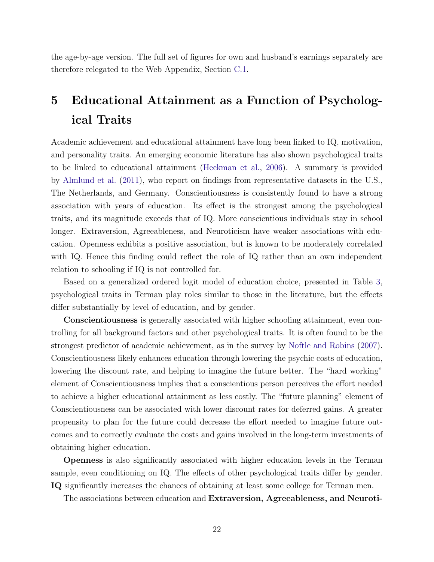the age-by-age version. The full set of figures for own and husband's earnings separately are therefore relegated to the Web Appendix, Section [C.1.](#page-9-1)

# <span id="page-24-0"></span>5 Educational Attainment as a Function of Psychological Traits

Academic achievement and educational attainment have long been linked to IQ, motivation, and personality traits. An emerging economic literature has also shown psychological traits to be linked to educational attainment [\(Heckman et al.,](#page-41-10) [2006\)](#page-41-10). A summary is provided by [Almlund et al.](#page-39-3) [\(2011\)](#page-39-3), who report on findings from representative datasets in the U.S., The Netherlands, and Germany. Conscientiousness is consistently found to have a strong association with years of education. Its effect is the strongest among the psychological traits, and its magnitude exceeds that of IQ. More conscientious individuals stay in school longer. Extraversion, Agreeableness, and Neuroticism have weaker associations with education. Openness exhibits a positive association, but is known to be moderately correlated with IQ. Hence this finding could reflect the role of IQ rather than an own independent relation to schooling if IQ is not controlled for.

Based on a generalized ordered logit model of education choice, presented in Table [3,](#page-25-0) psychological traits in Terman play roles similar to those in the literature, but the effects differ substantially by level of education, and by gender.

Conscientiousness is generally associated with higher schooling attainment, even controlling for all background factors and other psychological traits. It is often found to be the strongest predictor of academic achievement, as in the survey by [Noftle and Robins](#page-43-14) [\(2007\)](#page-43-14). Conscientiousness likely enhances education through lowering the psychic costs of education, lowering the discount rate, and helping to imagine the future better. The "hard working" element of Conscientiousness implies that a conscientious person perceives the effort needed to achieve a higher educational attainment as less costly. The "future planning" element of Conscientiousness can be associated with lower discount rates for deferred gains. A greater propensity to plan for the future could decrease the effort needed to imagine future outcomes and to correctly evaluate the costs and gains involved in the long-term investments of obtaining higher education.

Openness is also significantly associated with higher education levels in the Terman sample, even conditioning on IQ. The effects of other psychological traits differ by gender. IQ significantly increases the chances of obtaining at least some college for Terman men.

The associations between education and Extraversion, Agreeableness, and Neuroti-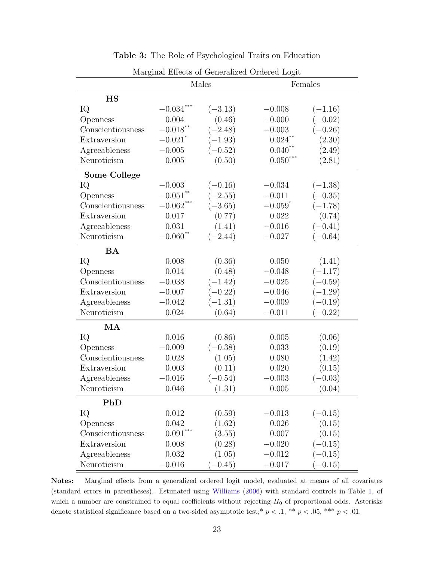<span id="page-25-0"></span>

| Marginal Effects of Generalized Ordered Logit |                       |           |                       |           |  |  |  |
|-----------------------------------------------|-----------------------|-----------|-----------------------|-----------|--|--|--|
|                                               |                       | Males     | Females               |           |  |  |  |
| HS                                            |                       |           |                       |           |  |  |  |
| IQ                                            | $-0.034$ **           | $(-3.13)$ | $-0.008$              | $(-1.16)$ |  |  |  |
| Openness                                      | 0.004                 | (0.46)    | $-0.000$              | $(-0.02)$ |  |  |  |
| Conscientiousness                             | $-0.018$ **           | $(-2.48)$ | $-0.003$              | $(-0.26)$ |  |  |  |
| Extraversion                                  | $-0.021$ <sup>*</sup> | $(-1.93)$ | $0.024$ **            | (2.30)    |  |  |  |
| Agreeableness                                 | $-0.005$              | $(-0.52)$ | $0.040$ <sup>**</sup> | (2.49)    |  |  |  |
| Neuroticism                                   | 0.005                 | (0.50)    | $0.050***$            | (2.81)    |  |  |  |
| <b>Some College</b>                           |                       |           |                       |           |  |  |  |
| IQ                                            | $-0.003$              | $(-0.16)$ | $-0.034$              | $(-1.38)$ |  |  |  |
| Openness                                      | $-0.051$ **           | $(-2.55)$ | $-0.011$              | $(-0.35)$ |  |  |  |
| Conscientiousness                             | $-0.062$ ***          | $(-3.65)$ | $-0.059$ <sup>*</sup> | $(-1.78)$ |  |  |  |
| Extraversion                                  | 0.017                 | (0.77)    | 0.022                 | (0.74)    |  |  |  |
| Agreeableness                                 | 0.031                 | (1.41)    | $-0.016$              | $(-0.41)$ |  |  |  |
| Neuroticism                                   | $-0.060$ **           | $(-2.44)$ | $-0.027$              | $(-0.64)$ |  |  |  |
| <b>BA</b>                                     |                       |           |                       |           |  |  |  |
| IQ                                            | 0.008                 | (0.36)    | 0.050                 | (1.41)    |  |  |  |
| Openness                                      | 0.014                 | (0.48)    | $-0.048$              | $(-1.17)$ |  |  |  |
| Conscientiousness                             | $-0.038$              | $(-1.42)$ | $-0.025$              | $(-0.59)$ |  |  |  |
| Extraversion                                  | $-0.007$              |           | $-0.046$              | $(-1.29)$ |  |  |  |
| Agreeableness                                 | $-0.042$              | $(-1.31)$ | $-0.009$              | $(-0.19)$ |  |  |  |
| Neuroticism                                   | 0.024                 | (0.64)    | $-0.011$              | $(-0.22)$ |  |  |  |
| MA                                            |                       |           |                       |           |  |  |  |
| IQ                                            | 0.016                 | (0.86)    | 0.005                 | (0.06)    |  |  |  |
| Openness                                      | $-0.009$              | $(-0.38)$ | 0.033                 | (0.19)    |  |  |  |
| Conscientiousness                             | 0.028                 | (1.05)    | 0.080                 | (1.42)    |  |  |  |
| Extraversion                                  | 0.003                 | (0.11)    | 0.020                 | (0.15)    |  |  |  |
| Agreeableness                                 | $-0.016$              | $(-0.54)$ | $-0.003$              | $(-0.03)$ |  |  |  |
| Neuroticism                                   | 0.046                 | (1.31)    | 0.005                 | (0.04)    |  |  |  |
| PhD                                           |                       |           |                       |           |  |  |  |
| IQ                                            | 0.012                 | (0.59)    | $-0.013$              | $(-0.15)$ |  |  |  |
| Openness                                      | 0.042                 | (1.62)    | 0.026                 | (0.15)    |  |  |  |
| Conscientiousness                             | $0.091***$            | (3.55)    | 0.007                 | (0.15)    |  |  |  |
| Extraversion                                  | 0.008                 | (0.28)    | $-0.020$              | $(-0.15)$ |  |  |  |
| Agreeableness                                 | 0.032                 | (1.05)    | $-0.012$              | $(-0.15)$ |  |  |  |
| Neuroticism                                   | $-0.016$              | $(-0.45)$ | $-0.017$              | $(-0.15)$ |  |  |  |

Table 3: The Role of Psychological Traits on Education

Notes: Marginal effects from a generalized ordered logit model, evaluated at means of all covariates (standard errors in parentheses). Estimated using [Williams](#page-46-3) [\(2006\)](#page-46-3) with standard controls in Table [1,](#page-7-0) of which a number are constrained to equal coefficients without rejecting  $H_0$  of proportional odds. Asterisks

denote statistical significance based on a two-sided asymptotic test;<sup>\*</sup>  $p < .1$ , \*\*  $p < .05$ , \*\*\*  $p < .01$ .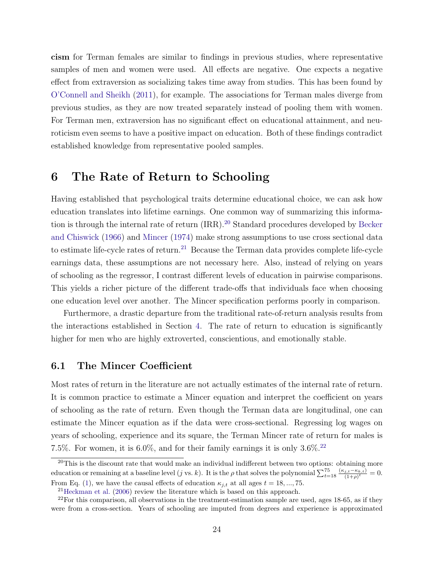cism for Terman females are similar to findings in previous studies, where representative samples of men and women were used. All effects are negative. One expects a negative effect from extraversion as socializing takes time away from studies. This has been found by [O'Connell and Sheikh](#page-44-8) [\(2011\)](#page-44-8), for example. The associations for Terman males diverge from previous studies, as they are now treated separately instead of pooling them with women. For Terman men, extraversion has no significant effect on educational attainment, and neuroticism even seems to have a positive impact on education. Both of these findings contradict established knowledge from representative pooled samples.

## <span id="page-26-0"></span>6 The Rate of Return to Schooling

Having established that psychological traits determine educational choice, we can ask how education translates into lifetime earnings. One common way of summarizing this informa-tion is through the internal rate of return (IRR).<sup>[20](#page--1-0)</sup> Standard procedures developed by [Becker](#page-39-11) [and Chiswick](#page-39-11) [\(1966\)](#page-39-11) and [Mincer](#page-43-2) [\(1974\)](#page-43-2) make strong assumptions to use cross sectional data to estimate life-cycle rates of return.<sup>[21](#page--1-0)</sup> Because the Terman data provides complete life-cycle earnings data, these assumptions are not necessary here. Also, instead of relying on years of schooling as the regressor, I contrast different levels of education in pairwise comparisons. This yields a richer picture of the different trade-offs that individuals face when choosing one education level over another. The Mincer specification performs poorly in comparison.

Furthermore, a drastic departure from the traditional rate-of-return analysis results from the interactions established in Section [4.](#page-13-0) The rate of return to education is significantly higher for men who are highly extroverted, conscientious, and emotionally stable.

#### 6.1 The Mincer Coefficient

Most rates of return in the literature are not actually estimates of the internal rate of return. It is common practice to estimate a Mincer equation and interpret the coefficient on years of schooling as the rate of return. Even though the Terman data are longitudinal, one can estimate the Mincer equation as if the data were cross-sectional. Regressing log wages on years of schooling, experience and its square, the Terman Mincer rate of return for males is 7.5%. For women, it is  $6.0\%$ , and for their family earnings it is only  $3.6\%$ <sup>[22](#page--1-0)</sup>

<sup>&</sup>lt;sup>20</sup>This is the discount rate that would make an individual indifferent between two options: obtaining more education or remaining at a baseline level (j vs. k). It is the  $\rho$  that solves the polynomial  $\sum_{t=18}^{75} \frac{(\kappa_{j,t}-\kappa_{k,t})}{(1+\rho)^t}$  $\frac{f_{j,t}-\kappa_{k,t}}{(1+\rho)^t} = 0.$ From Eq. [\(1\)](#page-10-0), we have the causal effects of education  $\kappa_{j,t}$  at all ages  $t = 18, ..., 75$ .

<sup>21</sup>[Heckman et al.](#page-41-4) [\(2006\)](#page-41-4) review the literature which is based on this approach.

 $22$ For this comparison, all observations in the treatment-estimation sample are used, ages 18-65, as if they were from a cross-section. Years of schooling are imputed from degrees and experience is approximated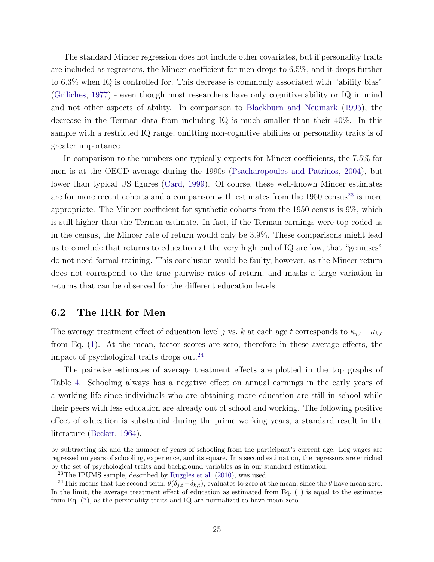The standard Mincer regression does not include other covariates, but if personality traits are included as regressors, the Mincer coefficient for men drops to 6.5%, and it drops further to 6.3% when IQ is controlled for. This decrease is commonly associated with "ability bias" [\(Griliches,](#page-41-13) [1977\)](#page-41-13) - even though most researchers have only cognitive ability or IQ in mind and not other aspects of ability. In comparison to [Blackburn and Neumark](#page-39-12) [\(1995\)](#page-39-12), the decrease in the Terman data from including IQ is much smaller than their 40%. In this sample with a restricted IQ range, omitting non-cognitive abilities or personality traits is of greater importance.

In comparison to the numbers one typically expects for Mincer coefficients, the 7.5% for men is at the OECD average during the 1990s [\(Psacharopoulos and Patrinos,](#page-44-12) [2004\)](#page-44-12), but lower than typical US figures [\(Card,](#page-39-13) [1999\)](#page-39-13). Of course, these well-known Mincer estimates are for more recent cohorts and a comparison with estimates from the  $1950 \text{ census}^{23}$  $1950 \text{ census}^{23}$  $1950 \text{ census}^{23}$  is more appropriate. The Mincer coefficient for synthetic cohorts from the 1950 census is 9%, which is still higher than the Terman estimate. In fact, if the Terman earnings were top-coded as in the census, the Mincer rate of return would only be 3.9%. These comparisons might lead us to conclude that returns to education at the very high end of IQ are low, that "geniuses" do not need formal training. This conclusion would be faulty, however, as the Mincer return does not correspond to the true pairwise rates of return, and masks a large variation in returns that can be observed for the different education levels.

#### 6.2 The IRR for Men

The average treatment effect of education level j vs. k at each age t corresponds to  $\kappa_{i,t} - \kappa_{k,t}$ from Eq. [\(1\)](#page-10-0). At the mean, factor scores are zero, therefore in these average effects, the impact of psychological traits drops out.[24](#page--1-0)

The pairwise estimates of average treatment effects are plotted in the top graphs of Table [4.](#page-28-0) Schooling always has a negative effect on annual earnings in the early years of a working life since individuals who are obtaining more education are still in school while their peers with less education are already out of school and working. The following positive effect of education is substantial during the prime working years, a standard result in the literature [\(Becker,](#page-39-1) [1964\)](#page-39-1).

by subtracting six and the number of years of schooling from the participant's current age. Log wages are regressed on years of schooling, experience, and its square. In a second estimation, the regressors are enriched by the set of psychological traits and background variables as in our standard estimation.

 $^{23}$ The IPUMS sample, described by [Ruggles et al.](#page-44-13) [\(2010\)](#page-44-13), was used.

<sup>&</sup>lt;sup>24</sup>This means that the second term,  $\theta(\delta_{j,t}-\delta_{k,t})$ , evaluates to zero at the mean, since the  $\theta$  have mean zero. In the limit, the average treatment effect of education as estimated from Eq. [\(1\)](#page-10-0) is equal to the estimates from Eq. [\(7\)](#page-20-1), as the personality traits and IQ are normalized to have mean zero.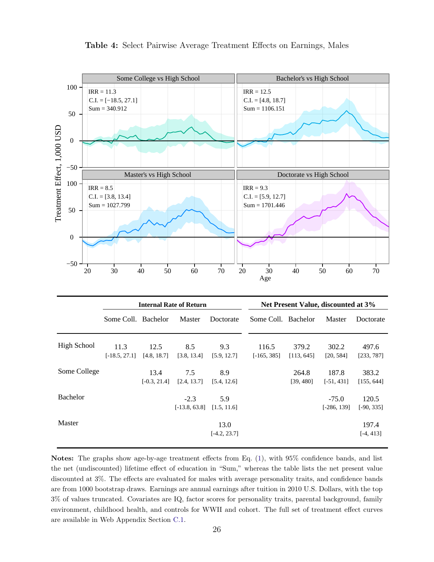<span id="page-28-0"></span>

Table 4: Select Pairwise Average Treatment Effects on Earnings, Males

|                    | <b>Internal Rate of Return</b> |                        |                           |                        |                        |                     | Net Present Value, discounted at 3% |                       |  |  |  |
|--------------------|--------------------------------|------------------------|---------------------------|------------------------|------------------------|---------------------|-------------------------------------|-----------------------|--|--|--|
|                    | Some Coll. Bachelor            |                        | Master                    | Doctorate              | Some Coll. Bachelor    |                     | Master                              | Doctorate             |  |  |  |
| <b>High School</b> | 11.3<br>$[-18.5, 27.1]$        | 12.5<br>[4.8, 18.7]    | 8.5<br>[3.8, 13.4]        | 9.3<br>[5.9, 12.7]     | 116.5<br>$[-165, 385]$ | 379.2<br>[113, 645] | 302.2<br>[20, 584]                  | 497.6<br>[233, 787]   |  |  |  |
| Some College       |                                | 13.4<br>$[-0.3, 21.4]$ | 7.5<br>[2.4, 13.7]        | 8.9<br>[5.4, 12.6]     |                        | 264.8<br>[39, 480]  | 187.8<br>$[-51, 431]$               | 383.2<br>[155, 644]   |  |  |  |
| <b>Bachelor</b>    |                                |                        | $-2.3$<br>$[-13.8, 63.8]$ | 5.9<br>[1.5, 11.6]     |                        |                     | $-75.0$<br>$[-286, 139]$            | 120.5<br>$[-90, 335]$ |  |  |  |
| Master             |                                |                        |                           | 13.0<br>$[-4.2, 23.7]$ |                        |                     |                                     | 197.4<br>$[-4, 413]$  |  |  |  |

Notes: The graphs show age-by-age treatment effects from Eq. [\(1\)](#page-10-0), with 95% confidence bands, and list the net (undiscounted) lifetime effect of education in "Sum," whereas the table lists the net present value discounted at 3%. The effects are evaluated for males with average personality traits, and confidence bands are from 1000 bootstrap draws. Earnings are annual earnings after tuition in 2010 U.S. Dollars, with the top 3% of values truncated. Covariates are IQ, factor scores for personality traits, parental background, family environment, childhood health, and controls for WWII and cohort. The full set of treatment effect curves are available in Web Appendix Section [C.1.](#page-9-1)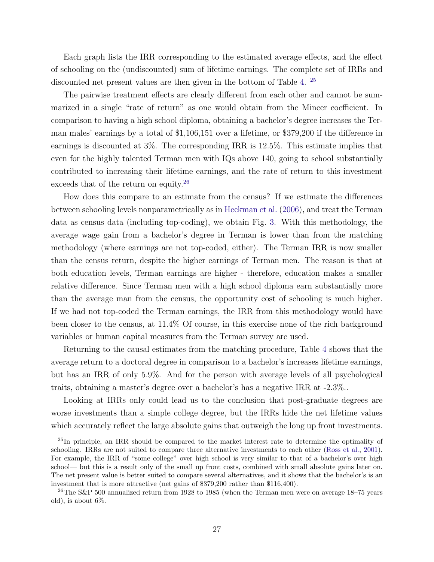Each graph lists the IRR corresponding to the estimated average effects, and the effect of schooling on the (undiscounted) sum of lifetime earnings. The complete set of IRRs and discounted net present values are then given in the bottom of Table [4.](#page-28-0) [25](#page--1-0)

The pairwise treatment effects are clearly different from each other and cannot be summarized in a single "rate of return" as one would obtain from the Mincer coefficient. In comparison to having a high school diploma, obtaining a bachelor's degree increases the Terman males' earnings by a total of \$1,106,151 over a lifetime, or \$379,200 if the difference in earnings is discounted at 3%. The corresponding IRR is 12.5%. This estimate implies that even for the highly talented Terman men with IQs above 140, going to school substantially contributed to increasing their lifetime earnings, and the rate of return to this investment exceeds that of the return on equity.<sup>[26](#page--1-0)</sup>

How does this compare to an estimate from the census? If we estimate the differences between schooling levels nonparametrically as in [Heckman et al.](#page-41-4) [\(2006\)](#page-41-4), and treat the Terman data as census data (including top-coding), we obtain Fig. [3.](#page-30-0) With this methodology, the average wage gain from a bachelor's degree in Terman is lower than from the matching methodology (where earnings are not top-coded, either). The Terman IRR is now smaller than the census return, despite the higher earnings of Terman men. The reason is that at both education levels, Terman earnings are higher - therefore, education makes a smaller relative difference. Since Terman men with a high school diploma earn substantially more than the average man from the census, the opportunity cost of schooling is much higher. If we had not top-coded the Terman earnings, the IRR from this methodology would have been closer to the census, at 11.4% Of course, in this exercise none of the rich background variables or human capital measures from the Terman survey are used.

Returning to the causal estimates from the matching procedure, Table [4](#page-28-0) shows that the average return to a doctoral degree in comparison to a bachelor's increases lifetime earnings, but has an IRR of only 5.9%. And for the person with average levels of all psychological traits, obtaining a master's degree over a bachelor's has a negative IRR at -2.3%..

Looking at IRRs only could lead us to the conclusion that post-graduate degrees are worse investments than a simple college degree, but the IRRs hide the net lifetime values which accurately reflect the large absolute gains that outweigh the long up front investments.

<sup>&</sup>lt;sup>25</sup>In principle, an IRR should be compared to the market interest rate to determine the optimality of schooling. IRRs are not suited to compare three alternative investments to each other [\(Ross et al.,](#page-44-14) [2001\)](#page-44-14). For example, the IRR of "some college" over high school is very similar to that of a bachelor's over high school— but this is a result only of the small up front costs, combined with small absolute gains later on. The net present value is better suited to compare several alternatives, and it shows that the bachelor's is an investment that is more attractive (net gains of \$379,200 rather than \$116,400).

<sup>&</sup>lt;sup>26</sup>The S&P 500 annualized return from 1928 to 1985 (when the Terman men were on average  $18$ –75 years old), is about 6%.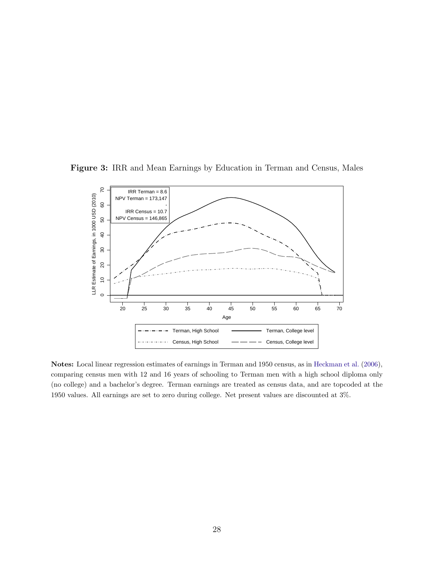<span id="page-30-0"></span>Figure 3: IRR and Mean Earnings by Education in Terman and Census, Males



Notes: Local linear regression estimates of earnings in Terman and 1950 census, as in [Heckman et al.](#page-41-4) [\(2006\)](#page-41-4), comparing census men with 12 and 16 years of schooling to Terman men with a high school diploma only (no college) and a bachelor's degree. Terman earnings are treated as census data, and are topcoded at the 1950 values. All earnings are set to zero during college. Net present values are discounted at 3%.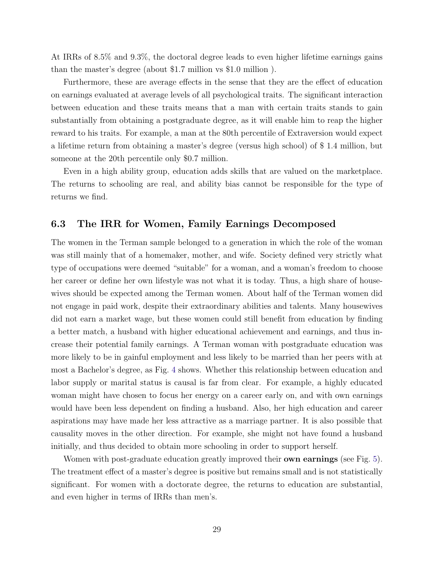At IRRs of 8.5% and 9.3%, the doctoral degree leads to even higher lifetime earnings gains than the master's degree (about \$1.7 million vs \$1.0 million ).

Furthermore, these are average effects in the sense that they are the effect of education on earnings evaluated at average levels of all psychological traits. The significant interaction between education and these traits means that a man with certain traits stands to gain substantially from obtaining a postgraduate degree, as it will enable him to reap the higher reward to his traits. For example, a man at the 80th percentile of Extraversion would expect a lifetime return from obtaining a master's degree (versus high school) of \$ 1.4 million, but someone at the 20th percentile only \$0.7 million.

Even in a high ability group, education adds skills that are valued on the marketplace. The returns to schooling are real, and ability bias cannot be responsible for the type of returns we find.

#### 6.3 The IRR for Women, Family Earnings Decomposed

The women in the Terman sample belonged to a generation in which the role of the woman was still mainly that of a homemaker, mother, and wife. Society defined very strictly what type of occupations were deemed "suitable" for a woman, and a woman's freedom to choose her career or define her own lifestyle was not what it is today. Thus, a high share of housewives should be expected among the Terman women. About half of the Terman women did not engage in paid work, despite their extraordinary abilities and talents. Many housewives did not earn a market wage, but these women could still benefit from education by finding a better match, a husband with higher educational achievement and earnings, and thus increase their potential family earnings. A Terman woman with postgraduate education was more likely to be in gainful employment and less likely to be married than her peers with at most a Bachelor's degree, as Fig. [4](#page-32-0) shows. Whether this relationship between education and labor supply or marital status is causal is far from clear. For example, a highly educated woman might have chosen to focus her energy on a career early on, and with own earnings would have been less dependent on finding a husband. Also, her high education and career aspirations may have made her less attractive as a marriage partner. It is also possible that causality moves in the other direction. For example, she might not have found a husband initially, and thus decided to obtain more schooling in order to support herself.

Women with post-graduate education greatly improved their **own earnings** (see Fig. [5\)](#page-33-0). The treatment effect of a master's degree is positive but remains small and is not statistically significant. For women with a doctorate degree, the returns to education are substantial, and even higher in terms of IRRs than men's.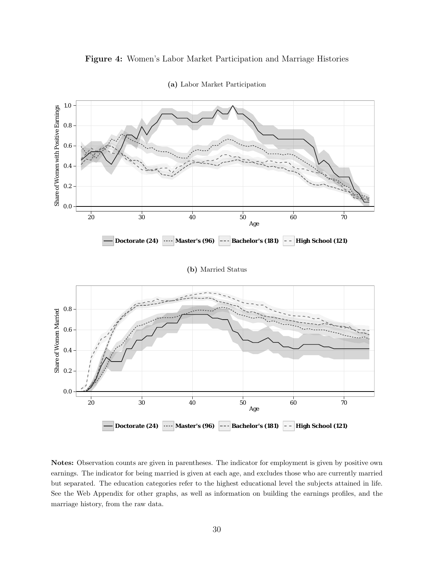<span id="page-32-0"></span>



(a) Labor Market Participation

Notes: Observation counts are given in parentheses. The indicator for employment is given by positive own earnings. The indicator for being married is given at each age, and excludes those who are currently married but separated. The education categories refer to the highest educational level the subjects attained in life. See the Web Appendix for other graphs, as well as information on building the earnings profiles, and the marriage history, from the raw data.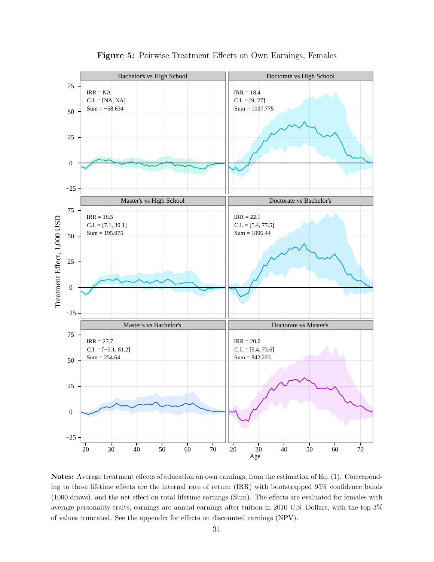<span id="page-33-0"></span>

Figure 5: Pairwise Treatment Effects on Own Earnings, Females

Notes: Average treatment effects of education on own earnings, from the estimation of Eq. [\(1\)](#page-10-0). Corresponding to these lifetime effects are the internal rate of return (IRR) with bootstrapped 95% confidence bands (1000 draws), and the net effect on total lifetime earnings (Sum). The effects are evaluated for females with average personality traits, earnings are annual earnings after tuition in 2010 U.S. Dollars, with the top 3% of values truncated. See the appendix for effects on discounted earnings (NPV).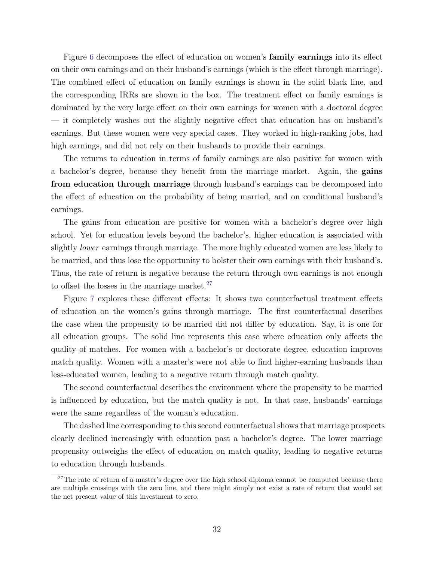Figure [6](#page-35-0) decomposes the effect of education on women's **family earnings** into its effect on their own earnings and on their husband's earnings (which is the effect through marriage). The combined effect of education on family earnings is shown in the solid black line, and the corresponding IRRs are shown in the box. The treatment effect on family earnings is dominated by the very large effect on their own earnings for women with a doctoral degree — it completely washes out the slightly negative effect that education has on husband's earnings. But these women were very special cases. They worked in high-ranking jobs, had high earnings, and did not rely on their husbands to provide their earnings.

The returns to education in terms of family earnings are also positive for women with a bachelor's degree, because they benefit from the marriage market. Again, the gains from education through marriage through husband's earnings can be decomposed into the effect of education on the probability of being married, and on conditional husband's earnings.

The gains from education are positive for women with a bachelor's degree over high school. Yet for education levels beyond the bachelor's, higher education is associated with slightly lower earnings through marriage. The more highly educated women are less likely to be married, and thus lose the opportunity to bolster their own earnings with their husband's. Thus, the rate of return is negative because the return through own earnings is not enough to offset the losses in the marriage market.<sup>[27](#page--1-0)</sup>

Figure [7](#page-36-0) explores these different effects: It shows two counterfactual treatment effects of education on the women's gains through marriage. The first counterfactual describes the case when the propensity to be married did not differ by education. Say, it is one for all education groups. The solid line represents this case where education only affects the quality of matches. For women with a bachelor's or doctorate degree, education improves match quality. Women with a master's were not able to find higher-earning husbands than less-educated women, leading to a negative return through match quality.

The second counterfactual describes the environment where the propensity to be married is influenced by education, but the match quality is not. In that case, husbands' earnings were the same regardless of the woman's education.

The dashed line corresponding to this second counterfactual shows that marriage prospects clearly declined increasingly with education past a bachelor's degree. The lower marriage propensity outweighs the effect of education on match quality, leading to negative returns to education through husbands.

<sup>&</sup>lt;sup>27</sup>The rate of return of a master's degree over the high school diploma cannot be computed because there are multiple crossings with the zero line, and there might simply not exist a rate of return that would set the net present value of this investment to zero.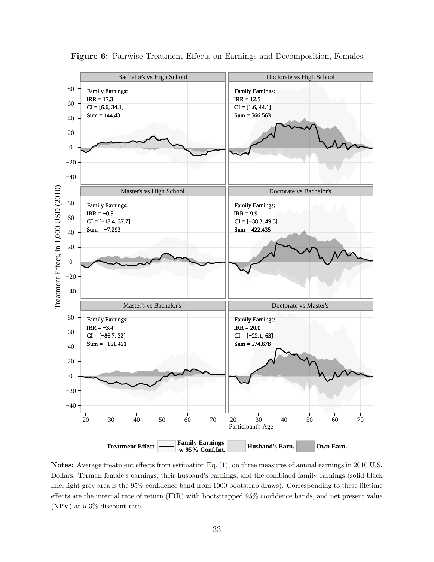<span id="page-35-0"></span>

Figure 6: Pairwise Treatment Effects on Earnings and Decomposition, Females

Notes: Average treatment effects from estimation Eq. [\(1\)](#page-10-0), on three measures of annual earnings in 2010 U.S. Dollars: Terman female's earnings, their husband's earnings, and the combined family earnings (solid black line, light grey area is the 95% confidence band from 1000 bootstrap draws). Corresponding to these lifetime effects are the internal rate of return (IRR) with bootstrapped 95% confidence bands, and net present value (NPV) at a 3% discount rate.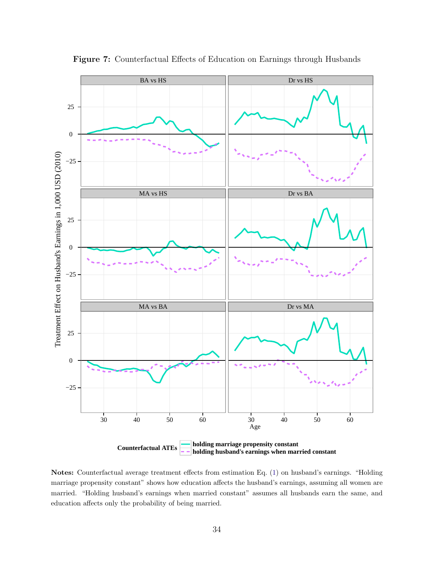<span id="page-36-0"></span>

Figure 7: Counterfactual Effects of Education on Earnings through Husbands

Notes: Counterfactual average treatment effects from estimation Eq. [\(1\)](#page-10-0) on husband's earnings. "Holding marriage propensity constant" shows how education affects the husband's earnings, assuming all women are married. "Holding husband's earnings when married constant" assumes all husbands earn the same, and education affects only the probability of being married.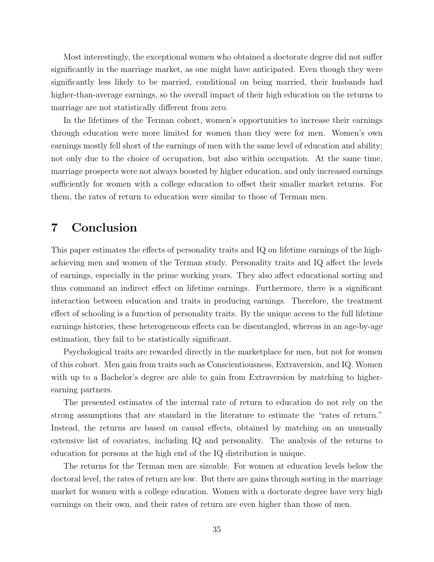Most interestingly, the exceptional women who obtained a doctorate degree did not suffer significantly in the marriage market, as one might have anticipated. Even though they were significantly less likely to be married, conditional on being married, their husbands had higher-than-average earnings, so the overall impact of their high education on the returns to marriage are not statistically different from zero.

In the lifetimes of the Terman cohort, women's opportunities to increase their earnings through education were more limited for women than they were for men. Women's own earnings mostly fell short of the earnings of men with the same level of education and ability; not only due to the choice of occupation, but also within occupation. At the same time, marriage prospects were not always boosted by higher education, and only increased earnings sufficiently for women with a college education to offset their smaller market returns. For them, the rates of return to education were similar to those of Terman men.

## <span id="page-37-0"></span>7 Conclusion

This paper estimates the effects of personality traits and IQ on lifetime earnings of the highachieving men and women of the Terman study. Personality traits and IQ affect the levels of earnings, especially in the prime working years. They also affect educational sorting and thus command an indirect effect on lifetime earnings. Furthermore, there is a significant interaction between education and traits in producing earnings. Therefore, the treatment effect of schooling is a function of personality traits. By the unique access to the full lifetime earnings histories, these heterogeneous effects can be disentangled, whereas in an age-by-age estimation, they fail to be statistically significant.

Psychological traits are rewarded directly in the marketplace for men, but not for women of this cohort. Men gain from traits such as Conscientiousness, Extraversion, and IQ. Women with up to a Bachelor's degree are able to gain from Extraversion by matching to higherearning partners.

The presented estimates of the internal rate of return to education do not rely on the strong assumptions that are standard in the literature to estimate the "rates of return." Instead, the returns are based on causal effects, obtained by matching on an unusually extensive list of covariates, including IQ and personality. The analysis of the returns to education for persons at the high end of the IQ distribution is unique.

The returns for the Terman men are sizeable. For women at education levels below the doctoral level, the rates of return are low. But there are gains through sorting in the marriage market for women with a college education. Women with a doctorate degree have very high earnings on their own, and their rates of return are even higher than those of men.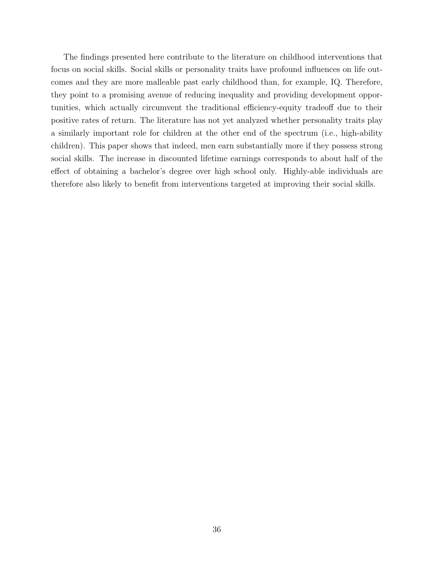The findings presented here contribute to the literature on childhood interventions that focus on social skills. Social skills or personality traits have profound influences on life outcomes and they are more malleable past early childhood than, for example, IQ. Therefore, they point to a promising avenue of reducing inequality and providing development opportunities, which actually circumvent the traditional efficiency-equity tradeoff due to their positive rates of return. The literature has not yet analyzed whether personality traits play a similarly important role for children at the other end of the spectrum (i.e., high-ability children). This paper shows that indeed, men earn substantially more if they possess strong social skills. The increase in discounted lifetime earnings corresponds to about half of the effect of obtaining a bachelor's degree over high school only. Highly-able individuals are therefore also likely to benefit from interventions targeted at improving their social skills.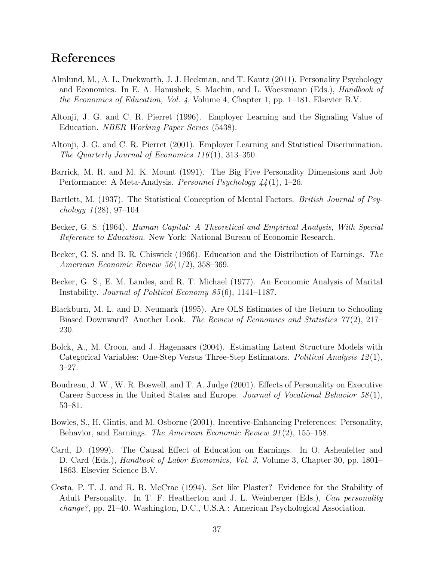## References

- <span id="page-39-3"></span>Almlund, M., A. L. Duckworth, J. J. Heckman, and T. Kautz (2011). Personality Psychology and Economics. In E. A. Hanushek, S. Machin, and L. Woessmann (Eds.), Handbook of the Economics of Education, Vol. 4, Volume 4, Chapter 1, pp. 1–181. Elsevier B.V.
- <span id="page-39-9"></span>Altonji, J. G. and C. R. Pierret (1996). Employer Learning and the Signaling Value of Education. NBER Working Paper Series (5438).
- <span id="page-39-10"></span>Altonji, J. G. and C. R. Pierret (2001). Employer Learning and Statistical Discrimination. The Quarterly Journal of Economics 116 (1), 313–350.
- <span id="page-39-6"></span>Barrick, M. R. and M. K. Mount (1991). The Big Five Personality Dimensions and Job Performance: A Meta-Analysis. Personnel Psychology 44 (1), 1–26.
- <span id="page-39-2"></span>Bartlett, M. (1937). The Statistical Conception of Mental Factors. *British Journal of Psy*chology  $1(28)$ , 97-104.
- <span id="page-39-1"></span>Becker, G. S. (1964). Human Capital: A Theoretical and Empirical Analysis, With Special Reference to Education. New York: National Bureau of Economic Research.
- <span id="page-39-11"></span>Becker, G. S. and B. R. Chiswick (1966). Education and the Distribution of Earnings. The American Economic Review 56 (1/2), 358–369.
- <span id="page-39-0"></span>Becker, G. S., E. M. Landes, and R. T. Michael (1977). An Economic Analysis of Marital Instability. Journal of Political Economy 85 (6), 1141–1187.
- <span id="page-39-12"></span>Blackburn, M. L. and D. Neumark (1995). Are OLS Estimates of the Return to Schooling Biased Downward? Another Look. The Review of Economics and Statistics 77(2), 217– 230.
- <span id="page-39-4"></span>Bolck, A., M. Croon, and J. Hagenaars (2004). Estimating Latent Structure Models with Categorical Variables: One-Step Versus Three-Step Estimators. Political Analysis 12 (1), 3–27.
- <span id="page-39-8"></span>Boudreau, J. W., W. R. Boswell, and T. A. Judge (2001). Effects of Personality on Executive Career Success in the United States and Europe. Journal of Vocational Behavior  $58(1)$ , 53–81.
- <span id="page-39-7"></span>Bowles, S., H. Gintis, and M. Osborne (2001). Incentive-Enhancing Preferences: Personality, Behavior, and Earnings. The American Economic Review 91(2), 155–158.
- <span id="page-39-13"></span>Card, D. (1999). The Causal Effect of Education on Earnings. In O. Ashenfelter and D. Card (Eds.), *Handbook of Labor Economics, Vol. 3*, Volume 3, Chapter 30, pp. 1801– 1863. Elsevier Science B.V.
- <span id="page-39-5"></span>Costa, P. T. J. and R. R. McCrae (1994). Set like Plaster? Evidence for the Stability of Adult Personality. In T. F. Heatherton and J. L. Weinberger (Eds.), Can personality change?, pp. 21–40. Washington, D.C., U.S.A.: American Psychological Association.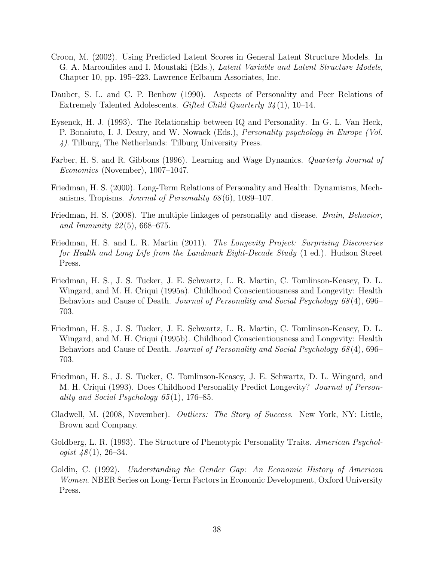- <span id="page-40-10"></span>Croon, M. (2002). Using Predicted Latent Scores in General Latent Structure Models. In G. A. Marcoulides and I. Moustaki (Eds.), Latent Variable and Latent Structure Models, Chapter 10, pp. 195–223. Lawrence Erlbaum Associates, Inc.
- <span id="page-40-7"></span>Dauber, S. L. and C. P. Benbow (1990). Aspects of Personality and Peer Relations of Extremely Talented Adolescents. Gifted Child Quarterly 34 (1), 10–14.
- <span id="page-40-8"></span>Eysenck, H. J. (1993). The Relationship between IQ and Personality. In G. L. Van Heck, P. Bonaiuto, I. J. Deary, and W. Nowack (Eds.), Personality psychology in Europe (Vol. 4). Tilburg, The Netherlands: Tilburg University Press.
- <span id="page-40-12"></span>Farber, H. S. and R. Gibbons (1996). Learning and Wage Dynamics. Quarterly Journal of Economics (November), 1007–1047.
- <span id="page-40-3"></span>Friedman, H. S. (2000). Long-Term Relations of Personality and Health: Dynamisms, Mechanisms, Tropisms. Journal of Personality 68 (6), 1089–107.
- <span id="page-40-4"></span>Friedman, H. S. (2008). The multiple linkages of personality and disease. Brain, Behavior, and Immunity  $22(5)$ , 668–675.
- <span id="page-40-5"></span>Friedman, H. S. and L. R. Martin (2011). The Longevity Project: Surprising Discoveries for Health and Long Life from the Landmark Eight-Decade Study (1 ed.). Hudson Street Press.
- <span id="page-40-0"></span>Friedman, H. S., J. S. Tucker, J. E. Schwartz, L. R. Martin, C. Tomlinson-Keasey, D. L. Wingard, and M. H. Criqui (1995a). Childhood Conscientiousness and Longevity: Health Behaviors and Cause of Death. *Journal of Personality and Social Psychology 68* (4), 696– 703.
- <span id="page-40-6"></span>Friedman, H. S., J. S. Tucker, J. E. Schwartz, L. R. Martin, C. Tomlinson-Keasey, D. L. Wingard, and M. H. Criqui (1995b). Childhood Conscientiousness and Longevity: Health Behaviors and Cause of Death. Journal of Personality and Social Psychology 68(4), 696– 703.
- <span id="page-40-2"></span>Friedman, H. S., J. S. Tucker, C. Tomlinson-Keasey, J. E. Schwartz, D. L. Wingard, and M. H. Criqui (1993). Does Childhood Personality Predict Longevity? Journal of Personality and Social Psychology  $65(1)$ , 176–85.
- <span id="page-40-11"></span>Gladwell, M. (2008, November). Outliers: The Story of Success. New York, NY: Little, Brown and Company.
- <span id="page-40-9"></span>Goldberg, L. R. (1993). The Structure of Phenotypic Personality Traits. American Psychologist  $48(1)$ , 26-34.
- <span id="page-40-1"></span>Goldin, C. (1992). Understanding the Gender Gap: An Economic History of American Women. NBER Series on Long-Term Factors in Economic Development, Oxford University Press.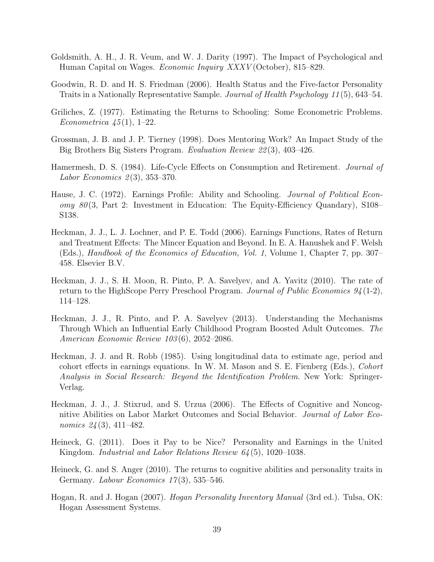- <span id="page-41-9"></span>Goldsmith, A. H., J. R. Veum, and W. J. Darity (1997). The Impact of Psychological and Human Capital on Wages. Economic Inquiry XXXV (October), 815–829.
- <span id="page-41-12"></span>Goodwin, R. D. and H. S. Friedman (2006). Health Status and the Five-factor Personality Traits in a Nationally Representative Sample. Journal of Health Psychology 11 (5), 643–54.
- <span id="page-41-13"></span>Griliches, Z. (1977). Estimating the Returns to Schooling: Some Econometric Problems. Econometrica  $\frac{45}{1}$ , 1–22.
- <span id="page-41-0"></span>Grossman, J. B. and J. P. Tierney (1998). Does Mentoring Work? An Impact Study of the Big Brothers Big Sisters Program. Evaluation Review 22 (3), 403–426.
- <span id="page-41-3"></span>Hamermesh, D. S. (1984). Life-Cycle Effects on Consumption and Retirement. Journal of Labor Economics  $2(3)$ , 353-370.
- <span id="page-41-11"></span>Hause, J. C. (1972). Earnings Profile: Ability and Schooling. *Journal of Political Econ* $omy$  80(3, Part 2: Investment in Education: The Equity-Efficiency Quandary), S108– S138.
- <span id="page-41-4"></span>Heckman, J. J., L. J. Lochner, and P. E. Todd (2006). Earnings Functions, Rates of Return and Treatment Effects: The Mincer Equation and Beyond. In E. A. Hanushek and F. Welsh (Eds.), Handbook of the Economics of Education, Vol. 1, Volume 1, Chapter 7, pp. 307– 458. Elsevier B.V.
- <span id="page-41-1"></span>Heckman, J. J., S. H. Moon, R. Pinto, P. A. Savelyev, and A. Yavitz (2010). The rate of return to the HighScope Perry Preschool Program. Journal of Public Economics  $94(1-2)$ , 114–128.
- <span id="page-41-2"></span>Heckman, J. J., R. Pinto, and P. A. Savelyev (2013). Understanding the Mechanisms Through Which an Influential Early Childhood Program Boosted Adult Outcomes. The American Economic Review 103 (6), 2052–2086.
- <span id="page-41-6"></span>Heckman, J. J. and R. Robb (1985). Using longitudinal data to estimate age, period and cohort effects in earnings equations. In W. M. Mason and S. E. Fienberg (Eds.), Cohort Analysis in Social Research: Beyond the Identification Problem. New York: Springer-Verlag.
- <span id="page-41-10"></span>Heckman, J. J., J. Stixrud, and S. Urzua (2006). The Effects of Cognitive and Noncognitive Abilities on Labor Market Outcomes and Social Behavior. Journal of Labor Economics 24(3), 411-482.
- <span id="page-41-8"></span>Heineck, G. (2011). Does it Pay to be Nice? Personality and Earnings in the United Kingdom. *Industrial and Labor Relations Review 64* (5), 1020–1038.
- <span id="page-41-7"></span>Heineck, G. and S. Anger (2010). The returns to cognitive abilities and personality traits in Germany. Labour Economics  $17(3)$ , 535–546.
- <span id="page-41-5"></span>Hogan, R. and J. Hogan (2007). Hogan Personality Inventory Manual (3rd ed.). Tulsa, OK: Hogan Assessment Systems.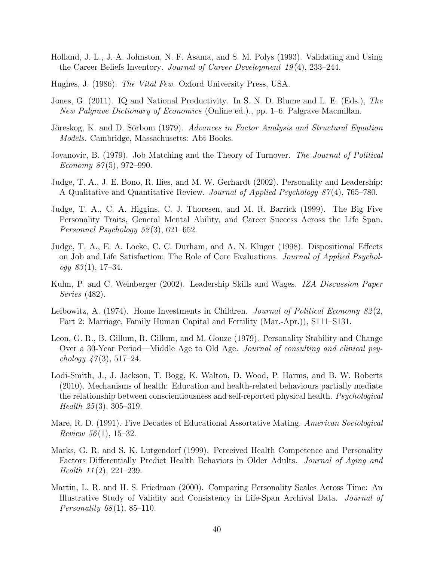- <span id="page-42-9"></span>Holland, J. L., J. A. Johnston, N. F. Asama, and S. M. Polys (1993). Validating and Using the Career Beliefs Inventory. *Journal of Career Development 19*(4), 233–244.
- <span id="page-42-0"></span>Hughes, J. (1986). The Vital Few. Oxford University Press, USA.
- <span id="page-42-1"></span>Jones, G. (2011). IQ and National Productivity. In S. N. D. Blume and L. E. (Eds.), The New Palgrave Dictionary of Economics (Online ed.)., pp. 1–6. Palgrave Macmillan.
- <span id="page-42-4"></span>Jöreskog, K. and D. Sörbom (1979). Advances in Factor Analysis and Structural Equation Models. Cambridge, Massachusetts: Abt Books.
- <span id="page-42-14"></span>Jovanovic, B. (1979). Job Matching and the Theory of Turnover. The Journal of Political Economy  $87(5)$ , 972–990.
- <span id="page-42-10"></span>Judge, T. A., J. E. Bono, R. Ilies, and M. W. Gerhardt (2002). Personality and Leadership: A Qualitative and Quantitative Review. Journal of Applied Psychology 87 (4), 765–780.
- <span id="page-42-6"></span>Judge, T. A., C. A. Higgins, C. J. Thoresen, and M. R. Barrick (1999). The Big Five Personality Traits, General Mental Ability, and Career Success Across the Life Span. Personnel Psychology 52 (3), 621–652.
- <span id="page-42-8"></span>Judge, T. A., E. A. Locke, C. C. Durham, and A. N. Kluger (1998). Dispositional Effects on Job and Life Satisfaction: The Role of Core Evaluations. Journal of Applied Psychol $ogy 83(1), 17-34.$
- <span id="page-42-11"></span>Kuhn, P. and C. Weinberger (2002). Leadership Skills and Wages. IZA Discussion Paper Series (482).
- <span id="page-42-3"></span>Leibowitz, A. (1974). Home Investments in Children. Journal of Political Economy  $82(2,$ Part 2: Marriage, Family Human Capital and Fertility (Mar.-Apr.)), S111–S131.
- <span id="page-42-7"></span>Leon, G. R., B. Gillum, R. Gillum, and M. Gouze (1979). Personality Stability and Change Over a 30-Year Period—Middle Age to Old Age. Journal of consulting and clinical psychology  $47(3)$ , 517–24.
- <span id="page-42-12"></span>Lodi-Smith, J., J. Jackson, T. Bogg, K. Walton, D. Wood, P. Harms, and B. W. Roberts (2010). Mechanisms of health: Education and health-related behaviours partially mediate the relationship between conscientiousness and self-reported physical health. Psychological *Health*  $25(3)$ , 305–319.
- <span id="page-42-2"></span>Mare, R. D. (1991). Five Decades of Educational Assortative Mating. American Sociological *Review*  $56(1)$ , 15–32.
- <span id="page-42-13"></span>Marks, G. R. and S. K. Lutgendorf (1999). Perceived Health Competence and Personality Factors Differentially Predict Health Behaviors in Older Adults. Journal of Aging and *Health*  $11(2)$ ,  $221-239$ .
- <span id="page-42-5"></span>Martin, L. R. and H. S. Friedman (2000). Comparing Personality Scales Across Time: An Illustrative Study of Validity and Consistency in Life-Span Archival Data. Journal of *Personality*  $68(1)$ , 85–110.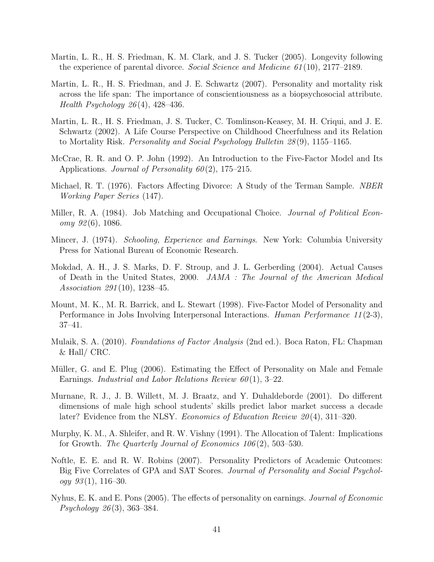- <span id="page-43-6"></span>Martin, L. R., H. S. Friedman, K. M. Clark, and J. S. Tucker (2005). Longevity following the experience of parental divorce. Social Science and Medicine 61 (10), 2177–2189.
- <span id="page-43-4"></span>Martin, L. R., H. S. Friedman, and J. E. Schwartz (2007). Personality and mortality risk across the life span: The importance of conscientiousness as a biopsychosocial attribute. *Health Psychology 26*(4), 428–436.
- <span id="page-43-5"></span>Martin, L. R., H. S. Friedman, J. S. Tucker, C. Tomlinson-Keasey, M. H. Criqui, and J. E. Schwartz (2002). A Life Course Perspective on Childhood Cheerfulness and its Relation to Mortality Risk. Personality and Social Psychology Bulletin 28 (9), 1155–1165.
- <span id="page-43-1"></span>McCrae, R. R. and O. P. John (1992). An Introduction to the Five-Factor Model and Its Applications. Journal of Personality  $60(2)$ , 175–215.
- <span id="page-43-3"></span>Michael, R. T. (1976). Factors Affecting Divorce: A Study of the Terman Sample. *NBER* Working Paper Series (147).
- <span id="page-43-13"></span>Miller, R. A. (1984). Job Matching and Occupational Choice. *Journal of Political Econ* $omy \; 92(6)$ , 1086.
- <span id="page-43-2"></span>Mincer, J. (1974). Schooling, Experience and Earnings. New York: Columbia University Press for National Bureau of Economic Research.
- <span id="page-43-12"></span>Mokdad, A. H., J. S. Marks, D. F. Stroup, and J. L. Gerberding (2004). Actual Causes of Death in the United States, 2000. JAMA : The Journal of the American Medical Association 291 (10), 1238–45.
- <span id="page-43-9"></span>Mount, M. K., M. R. Barrick, and L. Stewart (1998). Five-Factor Model of Personality and Performance in Jobs Involving Interpersonal Interactions. Human Performance 11(2-3), 37–41.
- <span id="page-43-7"></span>Mulaik, S. A. (2010). Foundations of Factor Analysis (2nd ed.). Boca Raton, FL: Chapman & Hall/ CRC.
- <span id="page-43-10"></span>Müller, G. and E. Plug (2006). Estimating the Effect of Personality on Male and Female Earnings. Industrial and Labor Relations Review  $60(1)$ , 3-22.
- <span id="page-43-11"></span>Murnane, R. J., J. B. Willett, M. J. Braatz, and Y. Duhaldeborde (2001). Do different dimensions of male high school students' skills predict labor market success a decade later? Evidence from the NLSY. *Economics of Education Review 20*(4), 311–320.
- <span id="page-43-0"></span>Murphy, K. M., A. Shleifer, and R. W. Vishny (1991). The Allocation of Talent: Implications for Growth. The Quarterly Journal of Economics  $106(2)$ , 503–530.
- <span id="page-43-14"></span>Noftle, E. E. and R. W. Robins (2007). Personality Predictors of Academic Outcomes: Big Five Correlates of GPA and SAT Scores. Journal of Personality and Social Psychol $ogy \, 93(1), 116-30.$
- <span id="page-43-8"></span>Nyhus, E. K. and E. Pons (2005). The effects of personality on earnings. Journal of Economic Psychology 26 (3), 363–384.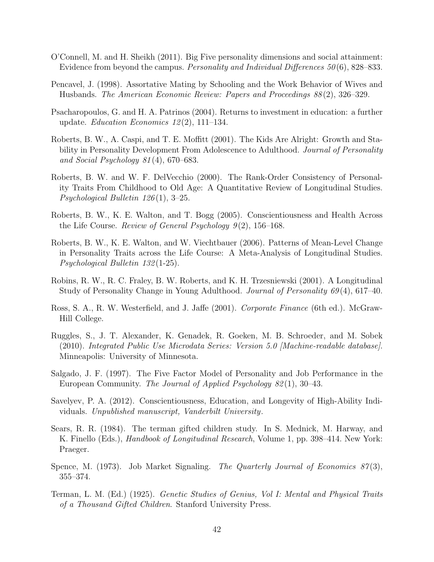- <span id="page-44-8"></span>O'Connell, M. and H. Sheikh (2011). Big Five personality dimensions and social attainment: Evidence from beyond the campus. *Personality and Individual Differences*  $50(6)$ , 828–833.
- <span id="page-44-1"></span>Pencavel, J. (1998). Assortative Mating by Schooling and the Work Behavior of Wives and Husbands. The American Economic Review: Papers and Proceedings 88 (2), 326–329.
- <span id="page-44-12"></span>Psacharopoulos, G. and H. A. Patrinos (2004). Returns to investment in education: a further update. *Education Economics* 12(2), 111–134.
- <span id="page-44-4"></span>Roberts, B. W., A. Caspi, and T. E. Moffitt (2001). The Kids Are Alright: Growth and Stability in Personality Development From Adolescence to Adulthood. *Journal of Personality* and Social Psychology 81 (4), 670–683.
- <span id="page-44-5"></span>Roberts, B. W. and W. F. DelVecchio (2000). The Rank-Order Consistency of Personality Traits From Childhood to Old Age: A Quantitative Review of Longitudinal Studies. Psychological Bulletin 126 (1), 3–25.
- <span id="page-44-10"></span>Roberts, B. W., K. E. Walton, and T. Bogg (2005). Conscientiousness and Health Across the Life Course. Review of General Psychology  $9(2)$ , 156–168.
- <span id="page-44-6"></span>Roberts, B. W., K. E. Walton, and W. Viechtbauer (2006). Patterns of Mean-Level Change in Personality Traits across the Life Course: A Meta-Analysis of Longitudinal Studies. Psychological Bulletin 132 (1-25).
- <span id="page-44-7"></span>Robins, R. W., R. C. Fraley, B. W. Roberts, and K. H. Trzesniewski (2001). A Longitudinal Study of Personality Change in Young Adulthood. Journal of Personality 69(4), 617–40.
- <span id="page-44-14"></span>Ross, S. A., R. W. Westerfield, and J. Jaffe (2001). Corporate Finance (6th ed.). McGraw-Hill College.
- <span id="page-44-13"></span>Ruggles, S., J. T. Alexander, K. Genadek, R. Goeken, M. B. Schroeder, and M. Sobek (2010). Integrated Public Use Microdata Series: Version 5.0 [Machine-readable database]. Minneapolis: University of Minnesota.
- <span id="page-44-9"></span>Salgado, J. F. (1997). The Five Factor Model of Personality and Job Performance in the European Community. The Journal of Applied Psychology 82 (1), 30–43.
- <span id="page-44-2"></span>Savelyev, P. A. (2012). Conscientiousness, Education, and Longevity of High-Ability Individuals. Unpublished manuscript, Vanderbilt University.
- <span id="page-44-3"></span>Sears, R. R. (1984). The terman gifted children study. In S. Mednick, M. Harway, and K. Finello (Eds.), *Handbook of Longitudinal Research*, Volume 1, pp. 398–414. New York: Praeger.
- <span id="page-44-11"></span>Spence, M. (1973). Job Market Signaling. The Quarterly Journal of Economics  $87(3)$ , 355–374.
- <span id="page-44-0"></span>Terman, L. M. (Ed.) (1925). Genetic Studies of Genius, Vol I: Mental and Physical Traits of a Thousand Gifted Children. Stanford University Press.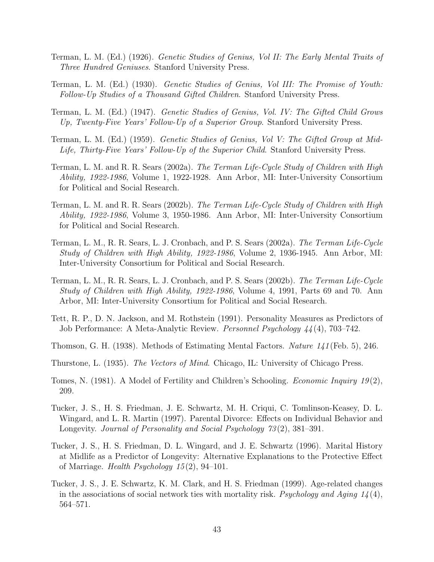- <span id="page-45-0"></span>Terman, L. M. (Ed.) (1926). Genetic Studies of Genius, Vol II: The Early Mental Traits of Three Hundred Geniuses. Stanford University Press.
- <span id="page-45-1"></span>Terman, L. M. (Ed.) (1930). Genetic Studies of Genius, Vol III: The Promise of Youth: Follow-Up Studies of a Thousand Gifted Children. Stanford University Press.
- <span id="page-45-2"></span>Terman, L. M. (Ed.) (1947). Genetic Studies of Genius, Vol. IV: The Gifted Child Grows Up, Twenty-Five Years' Follow-Up of a Superior Group. Stanford University Press.
- <span id="page-45-3"></span>Terman, L. M. (Ed.) (1959). Genetic Studies of Genius, Vol V: The Gifted Group at Mid-Life, Thirty-Five Years' Follow-Up of the Superior Child. Stanford University Press.
- <span id="page-45-5"></span>Terman, L. M. and R. R. Sears (2002a). The Terman Life-Cycle Study of Children with High Ability, 1922-1986, Volume 1, 1922-1928. Ann Arbor, MI: Inter-University Consortium for Political and Social Research.
- <span id="page-45-7"></span>Terman, L. M. and R. R. Sears (2002b). The Terman Life-Cycle Study of Children with High Ability, 1922-1986, Volume 3, 1950-1986. Ann Arbor, MI: Inter-University Consortium for Political and Social Research.
- <span id="page-45-6"></span>Terman, L. M., R. R. Sears, L. J. Cronbach, and P. S. Sears (2002a). The Terman Life-Cycle Study of Children with High Ability, 1922-1986, Volume 2, 1936-1945. Ann Arbor, MI: Inter-University Consortium for Political and Social Research.
- <span id="page-45-8"></span>Terman, L. M., R. R. Sears, L. J. Cronbach, and P. S. Sears (2002b). The Terman Life-Cycle Study of Children with High Ability, 1922-1986, Volume 4, 1991, Parts 69 and 70. Ann Arbor, MI: Inter-University Consortium for Political and Social Research.
- <span id="page-45-14"></span>Tett, R. P., D. N. Jackson, and M. Rothstein (1991). Personality Measures as Predictors of Job Performance: A Meta-Analytic Review. Personnel Psychology 44 (4), 703–742.
- <span id="page-45-13"></span>Thomson, G. H. (1938). Methods of Estimating Mental Factors. Nature 141 (Feb. 5), 246.
- <span id="page-45-12"></span>Thurstone, L. (1935). The Vectors of Mind. Chicago, IL: University of Chicago Press.
- <span id="page-45-4"></span>Tomes, N. (1981). A Model of Fertility and Children's Schooling. *Economic Inquiry 19(2)*, 209.
- <span id="page-45-9"></span>Tucker, J. S., H. S. Friedman, J. E. Schwartz, M. H. Criqui, C. Tomlinson-Keasey, D. L. Wingard, and L. R. Martin (1997). Parental Divorce: Effects on Individual Behavior and Longevity. Journal of Personality and Social Psychology 73(2), 381–391.
- <span id="page-45-10"></span>Tucker, J. S., H. S. Friedman, D. L. Wingard, and J. E. Schwartz (1996). Marital History at Midlife as a Predictor of Longevity: Alternative Explanations to the Protective Effect of Marriage. Health Psychology  $15(2)$ , 94-101.
- <span id="page-45-11"></span>Tucker, J. S., J. E. Schwartz, K. M. Clark, and H. S. Friedman (1999). Age-related changes in the associations of social network ties with mortality risk. Psychology and Aging  $14(4)$ , 564–571.